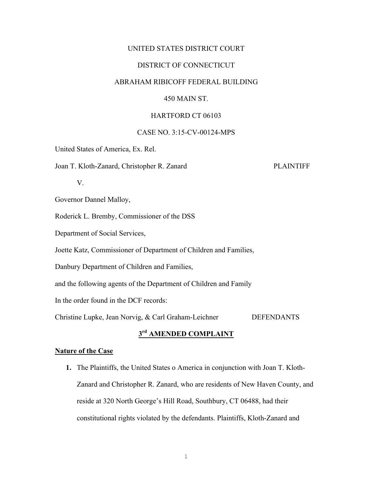## UNITED STATES DISTRICT COURT

## DISTRICT OF CONNECTICUT

## ABRAHAM RIBICOFF FEDERAL BUILDING

## 450 MAIN ST.

#### HARTFORD CT 06103

## CASE NO. 3:15-CV-00124-MPS

United States of America, Ex. Rel.

Joan T. Kloth-Zanard, Christopher R. Zanard PLAINTIFF

V.

Governor Dannel Malloy,

Roderick L. Bremby, Commissioner of the DSS

Department of Social Services,

Joette Katz, Commissioner of Department of Children and Families,

Danbury Department of Children and Families,

and the following agents of the Department of Children and Family

In the order found in the DCF records:

Christine Lupke, Jean Norvig, & Carl Graham-Leichner DEFENDANTS

## **3rd AMENDED COMPLAINT**

## **Nature of the Case**

**1.** The Plaintiffs, the United States o America in conjunction with Joan T. Kloth-Zanard and Christopher R. Zanard, who are residents of New Haven County, and reside at 320 North George's Hill Road, Southbury, CT 06488, had their constitutional rights violated by the defendants. Plaintiffs, Kloth-Zanard and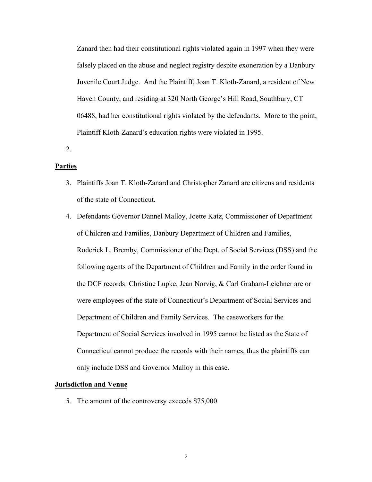Zanard then had their constitutional rights violated again in 1997 when they were falsely placed on the abuse and neglect registry despite exoneration by a Danbury Juvenile Court Judge. And the Plaintiff, Joan T. Kloth-Zanard, a resident of New Haven County, and residing at 320 North George's Hill Road, Southbury, CT 06488, had her constitutional rights violated by the defendants. More to the point, Plaintiff Kloth-Zanard's education rights were violated in 1995.

2.

#### **Parties**

- 3. Plaintiffs Joan T. Kloth-Zanard and Christopher Zanard are citizens and residents of the state of Connecticut.
- 4. Defendants Governor Dannel Malloy, Joette Katz, Commissioner of Department of Children and Families, Danbury Department of Children and Families, Roderick L. Bremby, Commissioner of the Dept. of Social Services (DSS) and the following agents of the Department of Children and Family in the order found in the DCF records: Christine Lupke, Jean Norvig, & Carl Graham-Leichner are or were employees of the state of Connecticut's Department of Social Services and Department of Children and Family Services. The caseworkers for the Department of Social Services involved in 1995 cannot be listed as the State of Connecticut cannot produce the records with their names, thus the plaintiffs can only include DSS and Governor Malloy in this case.

#### **Jurisdiction and Venue**

5. The amount of the controversy exceeds \$75,000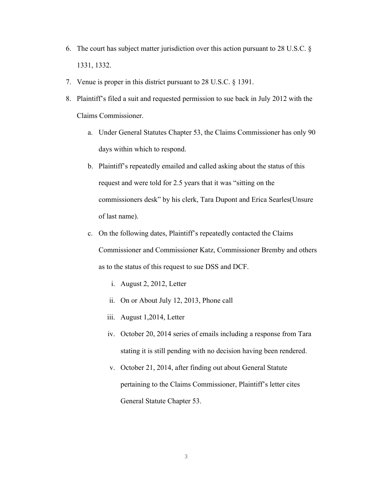- 6. The court has subject matter jurisdiction over this action pursuant to 28 U.S.C. § 1331, 1332.
- 7. Venue is proper in this district pursuant to 28 U.S.C. § 1391.
- 8. Plaintiff's filed a suit and requested permission to sue back in July 2012 with the Claims Commissioner.
	- a. Under General Statutes Chapter 53, the Claims Commissioner has only 90 days within which to respond.
	- b. Plaintiff's repeatedly emailed and called asking about the status of this request and were told for 2.5 years that it was "sitting on the commissioners desk" by his clerk, Tara Dupont and Erica Searles(Unsure of last name).
	- c. On the following dates, Plaintiff's repeatedly contacted the Claims Commissioner and Commissioner Katz, Commissioner Bremby and others as to the status of this request to sue DSS and DCF.
		- i. August 2, 2012, Letter
		- ii. On or About July 12, 2013, Phone call
		- iii. August 1,2014, Letter
		- iv. October 20, 2014 series of emails including a response from Tara stating it is still pending with no decision having been rendered.
		- v. October 21, 2014, after finding out about General Statute pertaining to the Claims Commissioner, Plaintiff's letter cites General Statute Chapter 53.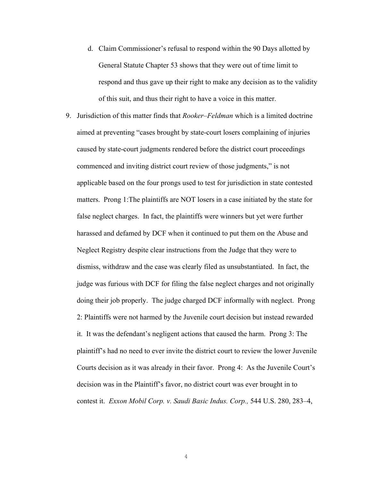- d. Claim Commissioner's refusal to respond within the 90 Days allotted by General Statute Chapter 53 shows that they were out of time limit to respond and thus gave up their right to make any decision as to the validity of this suit, and thus their right to have a voice in this matter.
- 9. Jurisdiction of this matter finds that *Rooker–Feldman* which is a limited doctrine aimed at preventing "cases brought by state-court losers complaining of injuries caused by state-court judgments rendered before the district court proceedings commenced and inviting district court review of those judgments," is not applicable based on the four prongs used to test for jurisdiction in state contested matters. Prong 1:The plaintiffs are NOT losers in a case initiated by the state for false neglect charges. In fact, the plaintiffs were winners but yet were further harassed and defamed by DCF when it continued to put them on the Abuse and Neglect Registry despite clear instructions from the Judge that they were to dismiss, withdraw and the case was clearly filed as unsubstantiated. In fact, the judge was furious with DCF for filing the false neglect charges and not originally doing their job properly. The judge charged DCF informally with neglect. Prong 2: Plaintiffs were not harmed by the Juvenile court decision but instead rewarded it. It was the defendant's negligent actions that caused the harm. Prong 3: The plaintiff's had no need to ever invite the district court to review the lower Juvenile Courts decision as it was already in their favor. Prong 4: As the Juvenile Court's decision was in the Plaintiff's favor, no district court was ever brought in to contest it. *Exxon Mobil Corp. v. Saudi Basic Indus. Corp.,* 544 U.S. 280, 283–4,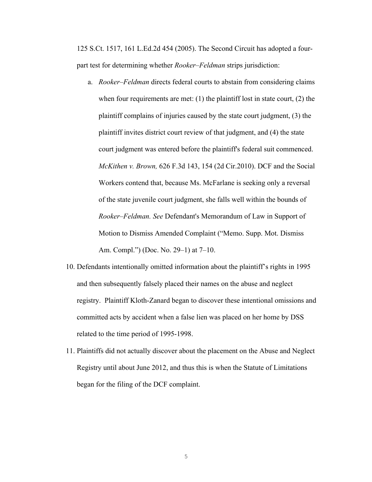125 S.Ct. 1517, 161 L.Ed.2d 454 (2005). The Second Circuit has adopted a fourpart test for determining whether *Rooker–Feldman* strips jurisdiction:

- a. *Rooker–Feldman* directs federal courts to abstain from considering claims when four requirements are met:  $(1)$  the plaintiff lost in state court,  $(2)$  the plaintiff complains of injuries caused by the state court judgment, (3) the plaintiff invites district court review of that judgment, and (4) the state court judgment was entered before the plaintiff's federal suit commenced. *McKithen v. Brown,* 626 F.3d 143, 154 (2d Cir.2010). DCF and the Social Workers contend that, because Ms. McFarlane is seeking only a reversal of the state juvenile court judgment, she falls well within the bounds of *Rooker–Feldman. See* Defendant's Memorandum of Law in Support of Motion to Dismiss Amended Complaint ("Memo. Supp. Mot. Dismiss Am. Compl.") (Doc. No. 29–1) at 7–10.
- 10. Defendants intentionally omitted information about the plaintiff's rights in 1995 and then subsequently falsely placed their names on the abuse and neglect registry. Plaintiff Kloth-Zanard began to discover these intentional omissions and committed acts by accident when a false lien was placed on her home by DSS related to the time period of 1995-1998.
- 11. Plaintiffs did not actually discover about the placement on the Abuse and Neglect Registry until about June 2012, and thus this is when the Statute of Limitations began for the filing of the DCF complaint.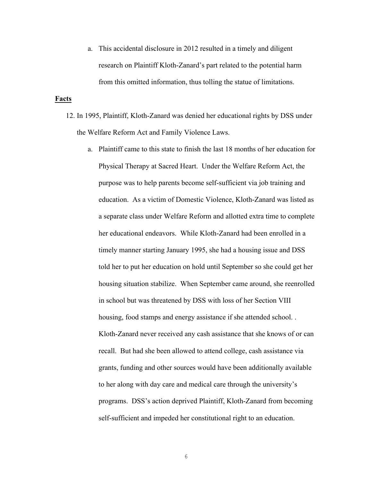a. This accidental disclosure in 2012 resulted in a timely and diligent research on Plaintiff Kloth-Zanard's part related to the potential harm from this omitted information, thus tolling the statue of limitations.

#### **Facts**

- 12. In 1995, Plaintiff, Kloth-Zanard was denied her educational rights by DSS under the Welfare Reform Act and Family Violence Laws.
	- a. Plaintiff came to this state to finish the last 18 months of her education for Physical Therapy at Sacred Heart. Under the Welfare Reform Act, the purpose was to help parents become self-sufficient via job training and education. As a victim of Domestic Violence, Kloth-Zanard was listed as a separate class under Welfare Reform and allotted extra time to complete her educational endeavors. While Kloth-Zanard had been enrolled in a timely manner starting January 1995, she had a housing issue and DSS told her to put her education on hold until September so she could get her housing situation stabilize. When September came around, she reenrolled in school but was threatened by DSS with loss of her Section VIII housing, food stamps and energy assistance if she attended school... Kloth-Zanard never received any cash assistance that she knows of or can recall. But had she been allowed to attend college, cash assistance via grants, funding and other sources would have been additionally available to her along with day care and medical care through the university's programs. DSS's action deprived Plaintiff, Kloth-Zanard from becoming self-sufficient and impeded her constitutional right to an education.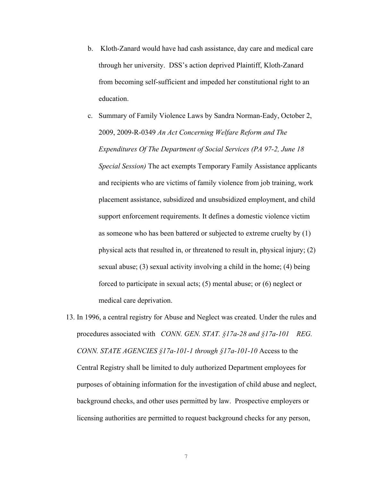- b. Kloth-Zanard would have had cash assistance, day care and medical care through her university. DSS's action deprived Plaintiff, Kloth-Zanard from becoming self-sufficient and impeded her constitutional right to an education.
- c. Summary of Family Violence Laws by Sandra Norman-Eady, October 2, 2009, 2009-R-0349 *An Act Concerning Welfare Reform and The Expenditures Of The Department of Social Services (PA 97-2, June 18 Special Session)* The act exempts Temporary Family Assistance applicants and recipients who are victims of family violence from job training, work placement assistance, subsidized and unsubsidized employment, and child support enforcement requirements. It defines a domestic violence victim as someone who has been battered or subjected to extreme cruelty by (1) physical acts that resulted in, or threatened to result in, physical injury; (2) sexual abuse; (3) sexual activity involving a child in the home; (4) being forced to participate in sexual acts; (5) mental abuse; or (6) neglect or medical care deprivation.
- 13. In 1996, a central registry for Abuse and Neglect was created. Under the rules and procedures associated with *CONN. GEN. STAT. §17a-28 and §17a-101 REG. CONN. STATE AGENCIES §17a-101-1 through §17a-101-10* Access to the Central Registry shall be limited to duly authorized Department employees for purposes of obtaining information for the investigation of child abuse and neglect, background checks, and other uses permitted by law. Prospective employers or licensing authorities are permitted to request background checks for any person,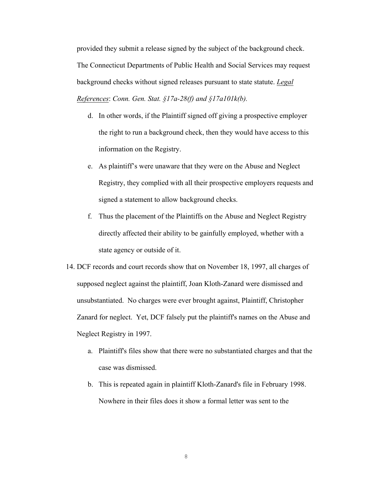provided they submit a release signed by the subject of the background check. The Connecticut Departments of Public Health and Social Services may request background checks without signed releases pursuant to state statute. *Legal References*: *Conn. Gen. Stat. §17a-28(f) and §17a101k(b).*

- d. In other words, if the Plaintiff signed off giving a prospective employer the right to run a background check, then they would have access to this information on the Registry.
- e. As plaintiff's were unaware that they were on the Abuse and Neglect Registry, they complied with all their prospective employers requests and signed a statement to allow background checks.
- f. Thus the placement of the Plaintiffs on the Abuse and Neglect Registry directly affected their ability to be gainfully employed, whether with a state agency or outside of it.

14. DCF records and court records show that on November 18, 1997, all charges of supposed neglect against the plaintiff, Joan Kloth-Zanard were dismissed and unsubstantiated. No charges were ever brought against, Plaintiff, Christopher Zanard for neglect. Yet, DCF falsely put the plaintiff's names on the Abuse and Neglect Registry in 1997.

- a. Plaintiff's files show that there were no substantiated charges and that the case was dismissed.
- b. This is repeated again in plaintiff Kloth-Zanard's file in February 1998. Nowhere in their files does it show a formal letter was sent to the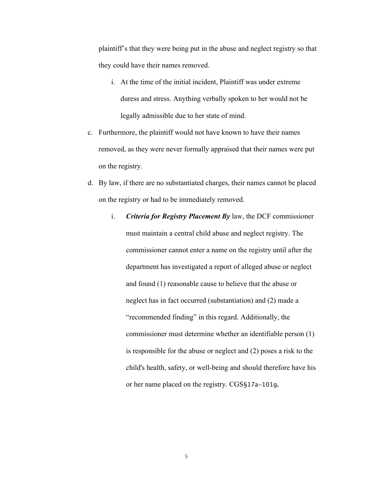plaintiff's that they were being put in the abuse and neglect registry so that they could have their names removed.

- i. At the time of the initial incident, Plaintiff was under extreme duress and stress. Anything verbally spoken to her would not be legally admissible due to her state of mind.
- c. Furthermore, the plaintiff would not have known to have their names removed, as they were never formally appraised that their names were put on the registry.
- d. By law, if there are no substantiated charges, their names cannot be placed on the registry or had to be immediately removed.
	- i. *Criteria for Registry Placement By* law, the DCF commissioner must maintain a central child abuse and neglect registry. The commissioner cannot enter a name on the registry until after the department has investigated a report of alleged abuse or neglect and found (1) reasonable cause to believe that the abuse or neglect has in fact occurred (substantiation) and (2) made a "recommended finding" in this regard. Additionally, the commissioner must determine whether an identifiable person (1) is responsible for the abuse or neglect and (2) poses a risk to the child's health, safety, or well-being and should therefore have his or her name placed on the registry. CGS§17a-101g**.**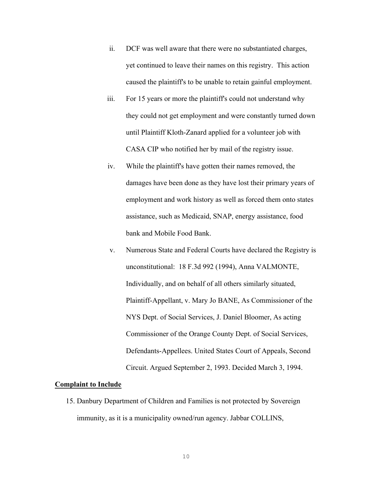- ii. DCF was well aware that there were no substantiated charges, yet continued to leave their names on this registry. This action caused the plaintiff's to be unable to retain gainful employment.
- iii. For 15 years or more the plaintiff's could not understand why they could not get employment and were constantly turned down until Plaintiff Kloth-Zanard applied for a volunteer job with CASA CIP who notified her by mail of the registry issue.
- iv. While the plaintiff's have gotten their names removed, the damages have been done as they have lost their primary years of employment and work history as well as forced them onto states assistance, such as Medicaid, SNAP, energy assistance, food bank and Mobile Food Bank.
- v. Numerous State and Federal Courts have declared the Registry is unconstitutional: 18 F.3d 992 (1994), Anna VALMONTE, Individually, and on behalf of all others similarly situated, Plaintiff-Appellant, v. Mary Jo BANE, As Commissioner of the NYS Dept. of Social Services, J. Daniel Bloomer, As acting Commissioner of the Orange County Dept. of Social Services, Defendants-Appellees. United States Court of Appeals, Second Circuit. Argued September 2, 1993. Decided March 3, 1994.

#### **Complaint to Include**

15. Danbury Department of Children and Families is not protected by Sovereign immunity, as it is a municipality owned/run agency. Jabbar COLLINS,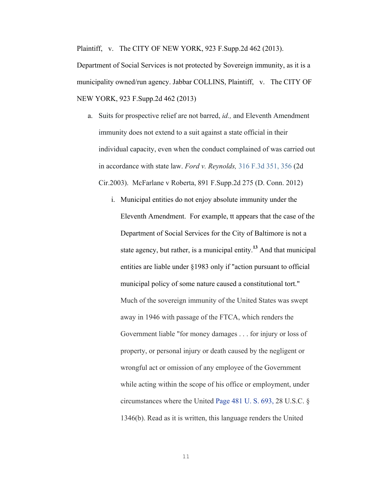Plaintiff, v. The CITY OF NEW YORK, 923 F.Supp.2d 462 (2013).

Department of Social Services is not protected by Sovereign immunity, as it is a municipality owned/run agency. Jabbar COLLINS, Plaintiff, v. The CITY OF NEW YORK, 923 F.Supp.2d 462 (2013)

- a. Suits for prospective relief are not barred, *id.,* and Eleventh Amendment immunity does not extend to a suit against a state official in their individual capacity, even when the conduct complained of was carried out in accordance with state law. *Ford v. Reynolds,* 316 F.3d 351, 356 (2d Cir.2003). McFarlane v Roberta, 891 F.Supp.2d 275 (D. Conn. 2012)
	- i. Municipal entities do not enjoy absolute immunity under the Eleventh Amendment. For example, tt appears that the case of the Department of Social Services for the City of Baltimore is not a state agency, but rather, is a municipal entity.**<sup>13</sup>** And that municipal entities are liable under §1983 only if "action pursuant to official municipal policy of some nature caused a constitutional tort." Much of the sovereign immunity of the United States was swept away in 1946 with passage of the FTCA, which renders the Government liable "for money damages . . . for injury or loss of property, or personal injury or death caused by the negligent or wrongful act or omission of any employee of the Government while acting within the scope of his office or employment, under circumstances where the United Page 481 U. S. 693, 28 U.S.C. § 1346(b). Read as it is written, this language renders the United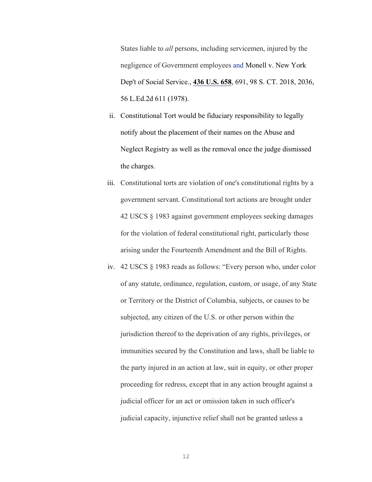States liable to *all* persons, including servicemen, injured by the negligence of Government employees and Monell v. New York Dep't of Social Service., **436 U.S. 658**, 691, 98 S. CT. 2018, 2036, 56 L.Ed.2d 611 (1978).

- ii. Constitutional Tort would be fiduciary responsibility to legally notify about the placement of their names on the Abuse and Neglect Registry as well as the removal once the judge dismissed the charges.
- iii. Constitutional torts are violation of one's constitutional rights by a government servant. Constitutional tort actions are brought under 42 USCS § 1983 against government employees seeking damages for the violation of federal constitutional right, particularly those arising under the Fourteenth Amendment and the Bill of Rights.
- iv. 42 USCS § 1983 reads as follows: "Every person who, under color of any statute, ordinance, regulation, custom, or usage, of any State or Territory or the District of Columbia, subjects, or causes to be subjected, any citizen of the U.S. or other person within the jurisdiction thereof to the deprivation of any rights, privileges, or immunities secured by the Constitution and laws, shall be liable to the party injured in an action at law, suit in equity, or other proper proceeding for redress, except that in any action brought against a judicial officer for an act or omission taken in such officer's judicial capacity, injunctive relief shall not be granted unless a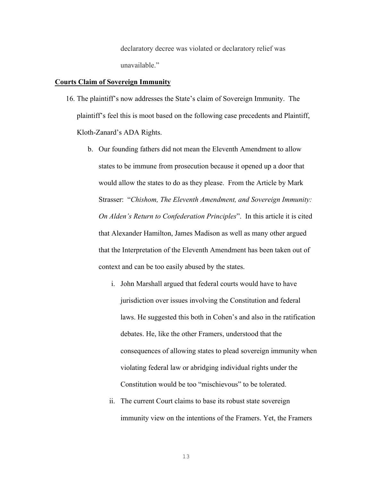declaratory decree was violated or declaratory relief was unavailable."

#### **Courts Claim of Sovereign Immunity**

- 16. The plaintiff's now addresses the State's claim of Sovereign Immunity. The plaintiff's feel this is moot based on the following case precedents and Plaintiff, Kloth-Zanard's ADA Rights.
	- b. Our founding fathers did not mean the Eleventh Amendment to allow states to be immune from prosecution because it opened up a door that would allow the states to do as they please. From the Article by Mark Strasser: "*Chishom, The Eleventh Amendment, and Sovereign Immunity: On Alden's Return to Confederation Principles*". In this article it is cited that Alexander Hamilton, James Madison as well as many other argued that the Interpretation of the Eleventh Amendment has been taken out of context and can be too easily abused by the states.
		- i. John Marshall argued that federal courts would have to have jurisdiction over issues involving the Constitution and federal laws. He suggested this both in Cohen's and also in the ratification debates. He, like the other Framers, understood that the consequences of allowing states to plead sovereign immunity when violating federal law or abridging individual rights under the Constitution would be too "mischievous" to be tolerated.
		- ii. The current Court claims to base its robust state sovereign immunity view on the intentions of the Framers. Yet, the Framers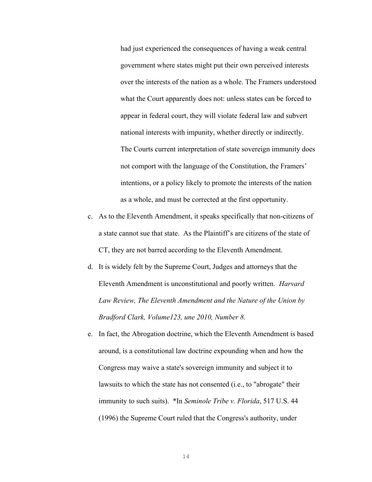had just experienced the consequences of having a weak central government where states might put their own perceived interests over the interests of the nation as a whole. The Framers understood what the Court apparently does not: unless states can be forced to appear in federal court, they will violate federal law and subvert national interests with impunity, whether directly or indirectly. The Courts current interpretation of state sovereign immunity does not comport with the language of the Constitution, the Framers' intentions, or a policy likely to promote the interests of the nation as a whole, and must be corrected at the first opportunity.

- c. As to the Eleventh Amendment, it speaks specifically that non-citizens of a state cannot sue that state. As the Plaintiff's are citizens of the state of CT, they are not barred according to the Eleventh Amendment.
- d. It is widely felt by the Supreme Court, Judges and attorneys that the Eleventh Amendment is unconstitutional and poorly written. *Harvard Law Review, The Eleventh Amendment and the Nature of the Union by Bradford Clark, Volume123, une 2010, Number 8.*
- e. In fact, the Abrogation doctrine, which the Eleventh Amendment is based around, is a constitutional law doctrine expounding when and how the Congress may waive a state's sovereign immunity and subject it to lawsuits to which the state has not consented (i.e., to "abrogate" their immunity to such suits). \*In *Seminole Tribe v. Florida*, 517 U.S. 44 (1996) the Supreme Court ruled that the Congress's authority, under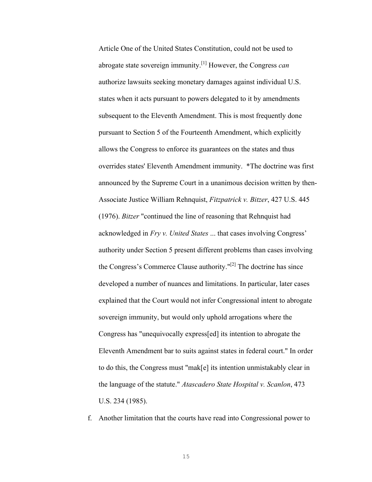Article One of the United States Constitution, could not be used to abrogate state sovereign immunity.[1] However, the Congress *can* authorize lawsuits seeking monetary damages against individual U.S. states when it acts pursuant to powers delegated to it by amendments subsequent to the Eleventh Amendment. This is most frequently done pursuant to Section 5 of the Fourteenth Amendment, which explicitly allows the Congress to enforce its guarantees on the states and thus overrides states' Eleventh Amendment immunity. \*The doctrine was first announced by the Supreme Court in a unanimous decision written by then-Associate Justice William Rehnquist, *Fitzpatrick v. Bitzer*, 427 U.S. 445 (1976). *Bitzer* "continued the line of reasoning that Rehnquist had acknowledged in *Fry v. United States* ... that cases involving Congress' authority under Section 5 present different problems than cases involving the Congress's Commerce Clause authority."[2] The doctrine has since developed a number of nuances and limitations. In particular, later cases explained that the Court would not infer Congressional intent to abrogate sovereign immunity, but would only uphold arrogations where the Congress has "unequivocally express[ed] its intention to abrogate the Eleventh Amendment bar to suits against states in federal court." In order to do this, the Congress must "mak[e] its intention unmistakably clear in the language of the statute." *Atascadero State Hospital v. Scanlon*, 473 U.S. 234 (1985).

f. Another limitation that the courts have read into Congressional power to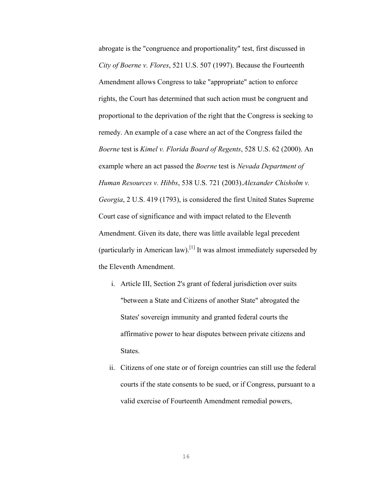abrogate is the "congruence and proportionality" test, first discussed in *City of Boerne v. Flores*, 521 U.S. 507 (1997). Because the Fourteenth Amendment allows Congress to take "appropriate" action to enforce rights, the Court has determined that such action must be congruent and proportional to the deprivation of the right that the Congress is seeking to remedy. An example of a case where an act of the Congress failed the *Boerne* test is *Kimel v. Florida Board of Regents*, 528 U.S. 62 (2000). An example where an act passed the *Boerne* test is *Nevada Department of Human Resources v. Hibbs*, 538 U.S. 721 (2003).*Alexander Chisholm v. Georgia*, 2 U.S. 419 (1793), is considered the first United States Supreme Court case of significance and with impact related to the Eleventh Amendment. Given its date, there was little available legal precedent (particularly in American law).<sup>[1]</sup> It was almost immediately superseded by the Eleventh Amendment.

- i. Article III, Section 2's grant of federal jurisdiction over suits "between a State and Citizens of another State" abrogated the States' sovereign immunity and granted federal courts the affirmative power to hear disputes between private citizens and States.
- ii. Citizens of one state or of foreign countries can still use the federal courts if the state consents to be sued, or if Congress, pursuant to a valid exercise of Fourteenth Amendment remedial powers,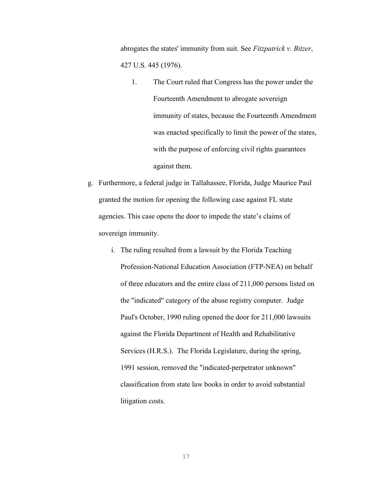abrogates the states' immunity from suit. See *Fitzpatrick v. Bitzer*, 427 U.S. 445 (1976).

- 1. The Court ruled that Congress has the power under the Fourteenth Amendment to abrogate sovereign immunity of states, because the Fourteenth Amendment was enacted specifically to limit the power of the states, with the purpose of enforcing civil rights guarantees against them.
- g. Furthermore, a federal judge in Tallahassee, Florida, Judge Maurice Paul granted the motion for opening the following case against FL state agencies. This case opens the door to impede the state's claims of sovereign immunity.
	- i. The ruling resulted from a lawsuit by the Florida Teaching Profession-National Education Association (FTP-NEA) on behalf of three educators and the entire class of 211,000 persons listed on the "indicated" category of the abuse registry computer. Judge Paul's October, 1990 ruling opened the door for 211,000 lawsuits against the Florida Department of Health and Rehabilitative Services (H.R.S.). The Florida Legislature, during the spring, 1991 session, removed the "indicated-perpetrator unknown" classification from state law books in order to avoid substantial litigation costs.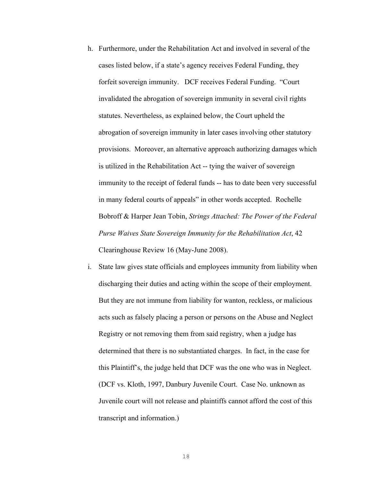- h. Furthermore, under the Rehabilitation Act and involved in several of the cases listed below, if a state's agency receives Federal Funding, they forfeit sovereign immunity. DCF receives Federal Funding. "Court invalidated the abrogation of sovereign immunity in several civil rights statutes. Nevertheless, as explained below, the Court upheld the abrogation of sovereign immunity in later cases involving other statutory provisions. Moreover, an alternative approach authorizing damages which is utilized in the Rehabilitation Act -- tying the waiver of sovereign immunity to the receipt of federal funds -- has to date been very successful in many federal courts of appeals" in other words accepted. Rochelle Bobroff & Harper Jean Tobin, *Strings Attached: The Power of the Federal Purse Waives State Sovereign Immunity for the Rehabilitation Act*, 42 Clearinghouse Review 16 (May-June 2008).
- i. State law gives state officials and employees immunity from liability when discharging their duties and acting within the scope of their employment. But they are not immune from liability for wanton, reckless, or malicious acts such as falsely placing a person or persons on the Abuse and Neglect Registry or not removing them from said registry, when a judge has determined that there is no substantiated charges. In fact, in the case for this Plaintiff's, the judge held that DCF was the one who was in Neglect. (DCF vs. Kloth, 1997, Danbury Juvenile Court. Case No. unknown as Juvenile court will not release and plaintiffs cannot afford the cost of this transcript and information.)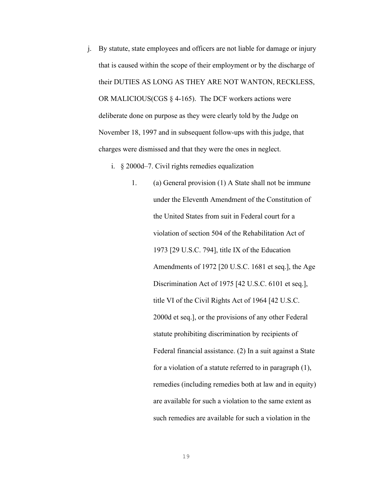j. By statute, state employees and officers are not liable for damage or injury that is caused within the scope of their employment or by the discharge of their DUTIES AS LONG AS THEY ARE NOT WANTON, RECKLESS, OR MALICIOUS(CGS  $\S$  4-165). The DCF workers actions were deliberate done on purpose as they were clearly told by the Judge on November 18, 1997 and in subsequent follow-ups with this judge, that charges were dismissed and that they were the ones in neglect.

i. § 2000d–7. Civil rights remedies equalization

1. (a) General provision (1) A State shall not be immune under the Eleventh Amendment of the Constitution of the United States from suit in Federal court for a violation of section 504 of the Rehabilitation Act of 1973 [29 U.S.C. 794], title IX of the Education Amendments of 1972 [20 U.S.C. 1681 et seq.], the Age Discrimination Act of 1975 [42 U.S.C. 6101 et seq.], title VI of the Civil Rights Act of 1964 [42 U.S.C. 2000d et seq.], or the provisions of any other Federal statute prohibiting discrimination by recipients of Federal financial assistance. (2) In a suit against a State for a violation of a statute referred to in paragraph (1), remedies (including remedies both at law and in equity) are available for such a violation to the same extent as such remedies are available for such a violation in the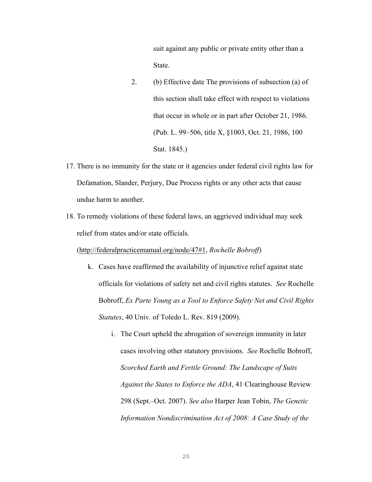suit against any public or private entity other than a State.

- 2. (b) Effective date The provisions of subsection (a) of this section shall take effect with respect to violations that occur in whole or in part after October 21, 1986. (Pub. L. 99–506, title X, §1003, Oct. 21, 1986, 100 Stat. 1845.)
- 17. There is no immunity for the state or it agencies under federal civil rights law for Defamation, Slander, Perjury, Due Process rights or any other acts that cause undue harm to another.
- 18. To remedy violations of these federal laws, an aggrieved individual may seek relief from states and/or state officials.

(http://federalpracticemanual.org/node/47#1, *Rochelle Bobroff*)

- k. Cases have reaffirmed the availability of injunctive relief against state officials for violations of safety net and civil rights statutes. *See* Rochelle Bobroff, *Ex Parte Young as a Tool to Enforce Safety Net and Civil Rights Statutes*, 40 Univ. of Toledo L. Rev. 819 (2009).
	- i. The Court upheld the abrogation of sovereign immunity in later cases involving other statutory provisions. *See* Rochelle Bobroff, *Scorched Earth and Fertile Ground: The Landscape of Suits Against the States to Enforce the ADA*, 41 Clearinghouse Review 298 (Sept.–Oct. 2007). *See also* Harper Jean Tobin, *The Genetic Information Nondiscrimination Act of 2008: A Case Study of the*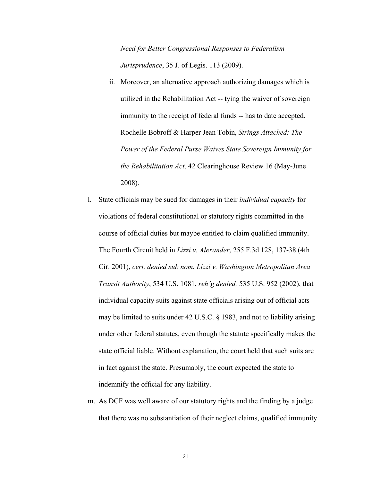*Need for Better Congressional Responses to Federalism Jurisprudence*, 35 J. of Legis. 113 (2009).

- ii. Moreover, an alternative approach authorizing damages which is utilized in the Rehabilitation Act -- tying the waiver of sovereign immunity to the receipt of federal funds -- has to date accepted. Rochelle Bobroff & Harper Jean Tobin, *Strings Attached: The Power of the Federal Purse Waives State Sovereign Immunity for the Rehabilitation Act*, 42 Clearinghouse Review 16 (May-June 2008).
- l. State officials may be sued for damages in their *individual capacity* for violations of federal constitutional or statutory rights committed in the course of official duties but maybe entitled to claim qualified immunity. The Fourth Circuit held in *Lizzi v. Alexander*, 255 F.3d 128, 137-38 (4th Cir. 2001), *cert. denied sub nom. Lizzi v. Washington Metropolitan Area Transit Authority*, 534 U.S. 1081, *reh'g denied,* 535 U.S. 952 (2002), that individual capacity suits against state officials arising out of official acts may be limited to suits under 42 U.S.C. § 1983, and not to liability arising under other federal statutes, even though the statute specifically makes the state official liable. Without explanation, the court held that such suits are in fact against the state. Presumably, the court expected the state to indemnify the official for any liability.
- m. As DCF was well aware of our statutory rights and the finding by a judge that there was no substantiation of their neglect claims, qualified immunity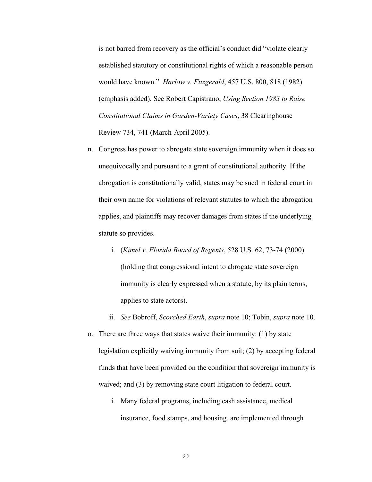is not barred from recovery as the official's conduct did "violate clearly established statutory or constitutional rights of which a reasonable person would have known." *Harlow v. Fitzgerald*, 457 U.S. 800, 818 (1982) (emphasis added). See Robert Capistrano, *Using Section 1983 to Raise Constitutional Claims in Garden-Variety Cases*, 38 Clearinghouse Review 734, 741 (March-April 2005).

- n. Congress has power to abrogate state sovereign immunity when it does so unequivocally and pursuant to a grant of constitutional authority. If the abrogation is constitutionally valid, states may be sued in federal court in their own name for violations of relevant statutes to which the abrogation applies, and plaintiffs may recover damages from states if the underlying statute so provides.
	- i. (*Kimel v. Florida Board of Regents*, 528 U.S. 62, 73-74 (2000) (holding that congressional intent to abrogate state sovereign immunity is clearly expressed when a statute, by its plain terms, applies to state actors).
	- ii. *See* Bobroff, *Scorched Earth*, *supra* note 10; Tobin, *supra* note 10.
- o. There are three ways that states waive their immunity: (1) by state legislation explicitly waiving immunity from suit; (2) by accepting federal funds that have been provided on the condition that sovereign immunity is waived; and (3) by removing state court litigation to federal court.
	- i. Many federal programs, including cash assistance, medical insurance, food stamps, and housing, are implemented through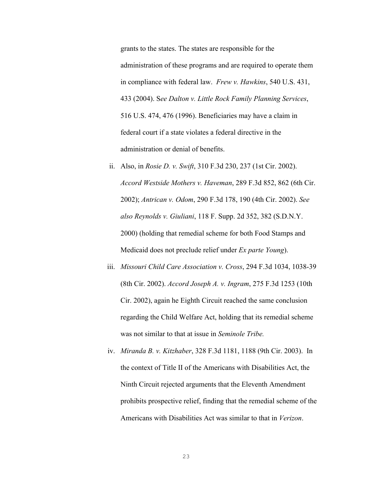grants to the states. The states are responsible for the administration of these programs and are required to operate them in compliance with federal law. *Frew v. Hawkins*, 540 U.S. 431, 433 (2004). S*ee Dalton v. Little Rock Family Planning Services*, 516 U.S. 474, 476 (1996). Beneficiaries may have a claim in federal court if a state violates a federal directive in the administration or denial of benefits.

- ii. Also, in *Rosie D. v. Swift*, 310 F.3d 230, 237 (1st Cir. 2002). *Accord Westside Mothers v. Haveman*, 289 F.3d 852, 862 (6th Cir. 2002); *Antrican v. Odom*, 290 F.3d 178, 190 (4th Cir. 2002). *See also Reynolds v. Giuliani*, 118 F. Supp. 2d 352, 382 (S.D.N.Y. 2000) (holding that remedial scheme for both Food Stamps and Medicaid does not preclude relief under *Ex parte Young*).
- iii. *Missouri Child Care Association v. Cross*, 294 F.3d 1034, 1038-39 (8th Cir. 2002). *Accord Joseph A. v. Ingram*, 275 F.3d 1253 (10th Cir. 2002), again he Eighth Circuit reached the same conclusion regarding the Child Welfare Act, holding that its remedial scheme was not similar to that at issue in *Seminole Tribe.*
- iv. *Miranda B. v. Kitzhaber*, 328 F.3d 1181, 1188 (9th Cir. 2003). In the context of Title II of the Americans with Disabilities Act, the Ninth Circuit rejected arguments that the Eleventh Amendment prohibits prospective relief, finding that the remedial scheme of the Americans with Disabilities Act was similar to that in *Verizon*.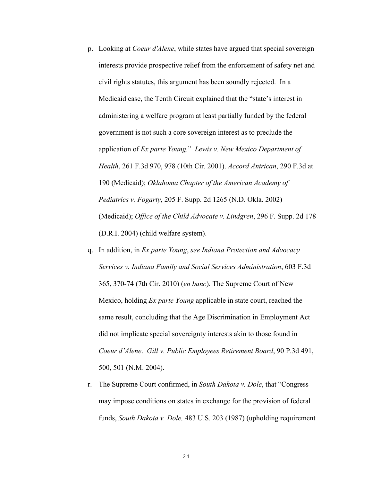- p. Looking at *Coeur d'Alene*, while states have argued that special sovereign interests provide prospective relief from the enforcement of safety net and civil rights statutes, this argument has been soundly rejected. In a Medicaid case, the Tenth Circuit explained that the "state's interest in administering a welfare program at least partially funded by the federal government is not such a core sovereign interest as to preclude the application of *Ex parte Young.*" *Lewis v. New Mexico Department of Health*, 261 F.3d 970, 978 (10th Cir. 2001). *Accord Antrican*, 290 F.3d at 190 (Medicaid); *Oklahoma Chapter of the American Academy of Pediatrics v. Fogarty*, 205 F. Supp. 2d 1265 (N.D. Okla. 2002) (Medicaid); *Office of the Child Advocate v. Lindgren*, 296 F. Supp. 2d 178 (D.R.I. 2004) (child welfare system).
- q. In addition, in *Ex parte Young*, *see Indiana Protection and Advocacy Services v. Indiana Family and Social Services Administration*, 603 F.3d 365, 370-74 (7th Cir. 2010) (*en banc*). The Supreme Court of New Mexico, holding *Ex parte Young* applicable in state court, reached the same result, concluding that the Age Discrimination in Employment Act did not implicate special sovereignty interests akin to those found in *Coeur d'Alene*. *Gill v. Public Employees Retirement Board*, 90 P.3d 491, 500, 501 (N.M. 2004).
- r. The Supreme Court confirmed, in *South Dakota v. Dole*, that "Congress may impose conditions on states in exchange for the provision of federal funds, *South Dakota v. Dole,* 483 U.S. 203 (1987) (upholding requirement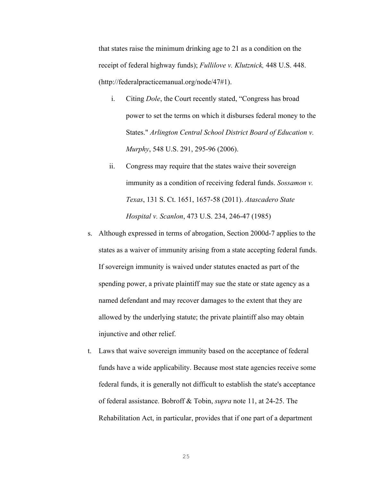that states raise the minimum drinking age to 21 as a condition on the receipt of federal highway funds); *Fullilove v. Klutznick,* 448 U.S. 448. (http://federalpracticemanual.org/node/47#1).

- i. Citing *Dole*, the Court recently stated, "Congress has broad power to set the terms on which it disburses federal money to the States." *Arlington Central School District Board of Education v. Murphy*, 548 U.S. 291, 295-96 (2006).
- ii. Congress may require that the states waive their sovereign immunity as a condition of receiving federal funds. *Sossamon v. Texas*, 131 S. Ct. 1651, 1657-58 (2011). *Atascadero State Hospital v. Scanlon*, 473 U.S. 234, 246-47 (1985)
- s. Although expressed in terms of abrogation, Section 2000d-7 applies to the states as a waiver of immunity arising from a state accepting federal funds. If sovereign immunity is waived under statutes enacted as part of the spending power, a private plaintiff may sue the state or state agency as a named defendant and may recover damages to the extent that they are allowed by the underlying statute; the private plaintiff also may obtain injunctive and other relief.
- t. Laws that waive sovereign immunity based on the acceptance of federal funds have a wide applicability. Because most state agencies receive some federal funds, it is generally not difficult to establish the state's acceptance of federal assistance. Bobroff & Tobin, *supra* note 11, at 24-25. The Rehabilitation Act, in particular, provides that if one part of a department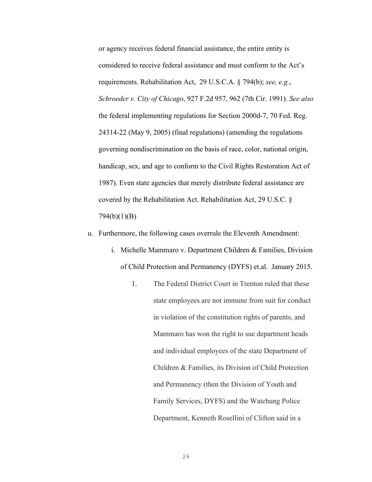or agency receives federal financial assistance, the entire entity is considered to receive federal assistance and must conform to the Act's requirements. Rehabilitation Act, 29 U.S.C.A. § 794(b); *see, e.g.*, *Schroeder v. City of Chicago*, 927 F.2d 957, 962 (7th Cir. 1991). *See also* the federal implementing regulations for Section 2000d-7, 70 Fed. Reg. 24314-22 (May 9, 2005) (final regulations) (amending the regulations governing nondiscrimination on the basis of race, color, national origin, handicap, sex, and age to conform to the Civil Rights Restoration Act of 1987). Even state agencies that merely distribute federal assistance are covered by the Rehabilitation Act. Rehabilitation Act, 29 U.S.C. § 794(b)(1)(B)

- u. Furthermore, the following cases overrule the Eleventh Amendment:
	- i. Michelle Mammaro v. Department Children & Families, Division of Child Protection and Permanency (DYFS) et.al. January 2015.
		- 1. The Federal District Court in Trenton ruled that these state employees are not immune from suit for conduct in violation of the constitution rights of parents, and Mammaro has won the right to sue department heads and individual employees of the state Department of Children & Families, its Division of Child Protection and Permanency (then the Division of Youth and Family Services, DYFS) and the Watchung Police Department, Kenneth Rosellini of Clifton said in a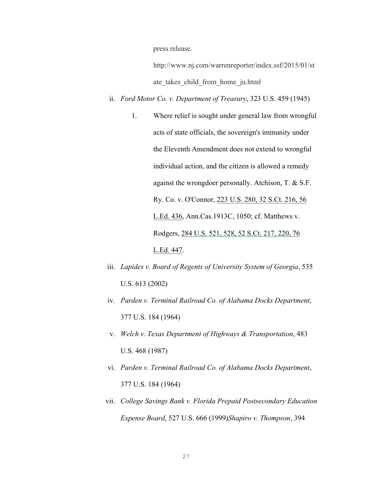press release.

http://www.nj.com/warrenreporter/index.ssf/2015/01/st ate takes child from home ju.html

- ii. *Ford Motor Co. v. Department of Treasury*, 323 U.S. 459 (1945)
	- 1. Where relief is sought under general law from wrongful acts of state officials, the sovereign's immunity under the Eleventh Amendment does not extend to wrongful individual action, and the citizen is allowed a remedy against the wrongdoer personally. Atchison, T. & S.F. Ry. Co. v. O'Connor, 223 U.S. 280, 32 S.Ct. 216, 56 L.Ed. 436, Ann.Cas.1913C, 1050; cf. Matthews v. Rodgers, 284 U.S. 521, 528, 52 S.Ct. 217, 220, 76 L.Ed. 447.
- iii. *Lapides v. Board of Regents of University System of Georgia*, 535 U.S. 613 (2002)
- iv. *Parden v. Terminal Railroad Co. of Alabama Docks Department*, 377 U.S. 184 (1964)
- v. *Welch v. Texas Department of Highways & Transportation*, 483 U.S. 468 (1987)
- vi. *Parden v. Terminal Railroad Co. of Alabama Docks Department*, 377 U.S. 184 (1964)
- vii. *College Savings Bank v. Florida Prepaid Postsecondary Education Expense Board*, 527 U.S. 666 (1999)*Shapiro v. Thompson*, 394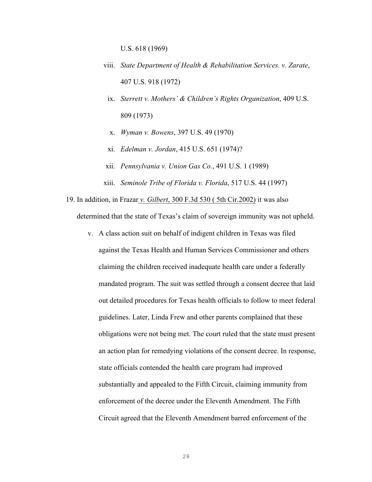U.S. 618 (1969)

- viii. *State Department of Health & Rehabilitation Services. v. Zarate*, 407 U.S. 918 (1972)
	- ix. *Sterrett v. Mothers' & Children's Rights Organization*, 409 U.S. 809 (1973)
	- x. *Wyman v. Bowens*, 397 U.S. 49 (1970)
	- xi. *Edelman v. Jordan*, 415 U.S. 651 (1974)?
- xii. *Pennsylvania v. Union Gas Co.*, 491 U.S. 1 (1989)
- xiii. *Seminole Tribe of Florida v. Florida*, 517 U.S. 44 (1997)

19. In addition, in Frazar *v. Gilbert*, 300 F.3d 530 ( 5th Cir.2002) it was also determined that the state of Texas's claim of sovereign immunity was not upheld.

v. A class action suit on behalf of indigent children in Texas was filed against the Texas Health and Human Services Commissioner and others claiming the children received inadequate health care under a federally mandated program. The suit was settled through a consent decree that laid out detailed procedures for Texas health officials to follow to meet federal guidelines. Later, Linda Frew and other parents complained that these obligations were not being met. The court ruled that the state must present an action plan for remedying violations of the consent decree. In response, state officials contended the health care program had improved substantially and appealed to the Fifth Circuit, claiming immunity from enforcement of the decree under the Eleventh Amendment. The Fifth Circuit agreed that the Eleventh Amendment barred enforcement of the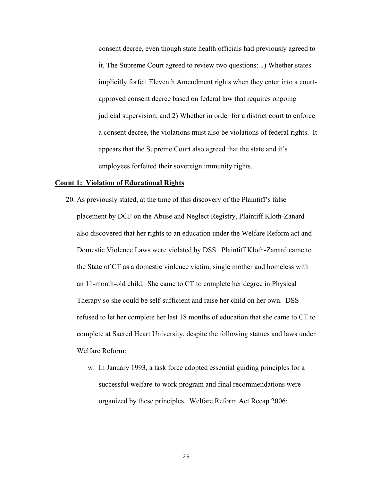consent decree, even though state health officials had previously agreed to it. The Supreme Court agreed to review two questions: 1) Whether states implicitly forfeit Eleventh Amendment rights when they enter into a courtapproved consent decree based on federal law that requires ongoing judicial supervision, and 2) Whether in order for a district court to enforce a consent decree, the violations must also be violations of federal rights. It appears that the Supreme Court also agreed that the state and it's employees forfeited their sovereign immunity rights.

#### **Count 1: Violation of Educational Rights**

- 20. As previously stated, at the time of this discovery of the Plaintiff's false placement by DCF on the Abuse and Neglect Registry, Plaintiff Kloth-Zanard also discovered that her rights to an education under the Welfare Reform act and Domestic Violence Laws were violated by DSS. Plaintiff Kloth-Zanard came to the State of CT as a domestic violence victim, single mother and homeless with an 11-month-old child. She came to CT to complete her degree in Physical Therapy so she could be self-sufficient and raise her child on her own. DSS refused to let her complete her last 18 months of education that she came to CT to complete at Sacred Heart University, despite the following statues and laws under Welfare Reform:
	- w. In January 1993, a task force adopted essential guiding principles for a successful welfare-to work program and final recommendations were organized by these principles. Welfare Reform Act Recap 2006: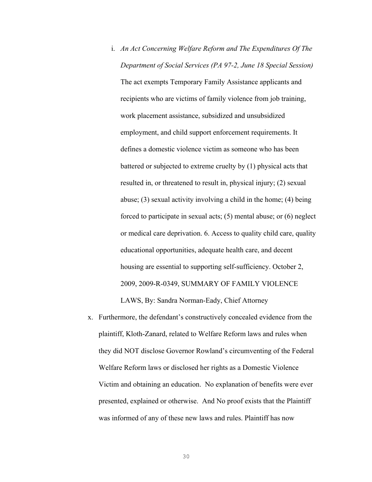- i. *An Act Concerning Welfare Reform and The Expenditures Of The Department of Social Services (PA 97-2, June 18 Special Session)*  The act exempts Temporary Family Assistance applicants and recipients who are victims of family violence from job training, work placement assistance, subsidized and unsubsidized employment, and child support enforcement requirements. It defines a domestic violence victim as someone who has been battered or subjected to extreme cruelty by (1) physical acts that resulted in, or threatened to result in, physical injury; (2) sexual abuse; (3) sexual activity involving a child in the home; (4) being forced to participate in sexual acts; (5) mental abuse; or (6) neglect or medical care deprivation. 6. Access to quality child care, quality educational opportunities, adequate health care, and decent housing are essential to supporting self-sufficiency. October 2, 2009, 2009-R-0349, SUMMARY OF FAMILY VIOLENCE LAWS, By: Sandra Norman-Eady, Chief Attorney
- x. Furthermore, the defendant's constructively concealed evidence from the plaintiff, Kloth-Zanard, related to Welfare Reform laws and rules when they did NOT disclose Governor Rowland's circumventing of the Federal Welfare Reform laws or disclosed her rights as a Domestic Violence Victim and obtaining an education. No explanation of benefits were ever presented, explained or otherwise. And No proof exists that the Plaintiff was informed of any of these new laws and rules. Plaintiff has now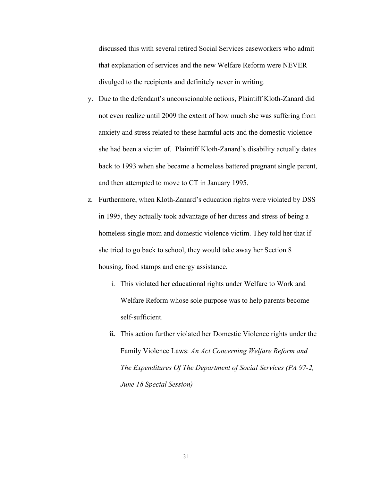discussed this with several retired Social Services caseworkers who admit that explanation of services and the new Welfare Reform were NEVER divulged to the recipients and definitely never in writing.

- y. Due to the defendant's unconscionable actions, Plaintiff Kloth-Zanard did not even realize until 2009 the extent of how much she was suffering from anxiety and stress related to these harmful acts and the domestic violence she had been a victim of. Plaintiff Kloth-Zanard's disability actually dates back to 1993 when she became a homeless battered pregnant single parent, and then attempted to move to CT in January 1995.
- z. Furthermore, when Kloth-Zanard's education rights were violated by DSS in 1995, they actually took advantage of her duress and stress of being a homeless single mom and domestic violence victim. They told her that if she tried to go back to school, they would take away her Section 8 housing, food stamps and energy assistance.
	- i. This violated her educational rights under Welfare to Work and Welfare Reform whose sole purpose was to help parents become self-sufficient.
	- **ii.** This action further violated her Domestic Violence rights under the Family Violence Laws: *An Act Concerning Welfare Reform and The Expenditures Of The Department of Social Services (PA 97-2, June 18 Special Session)*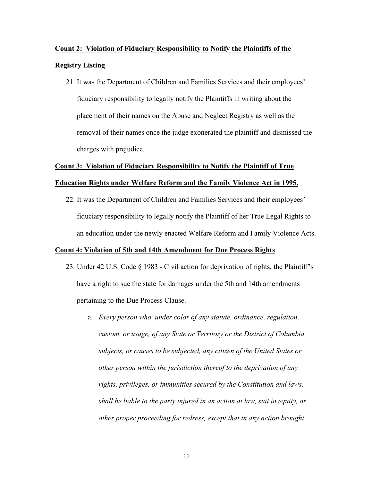# **Count 2: Violation of Fiduciary Responsibility to Notify the Plaintiffs of the Registry Listing**

21. It was the Department of Children and Families Services and their employees' fiduciary responsibility to legally notify the Plaintiffs in writing about the placement of their names on the Abuse and Neglect Registry as well as the removal of their names once the judge exonerated the plaintiff and dismissed the charges with prejudice.

## **Count 3: Violation of Fiduciary Responsibility to Notify the Plaintiff of True**

## **Education Rights under Welfare Reform and the Family Violence Act in 1995.**

22. It was the Department of Children and Families Services and their employees' fiduciary responsibility to legally notify the Plaintiff of her True Legal Rights to an education under the newly enacted Welfare Reform and Family Violence Acts.

## **Count 4: Violation of 5th and 14th Amendment for Due Process Rights**

- 23. Under 42 U.S. Code § 1983 Civil action for deprivation of rights, the Plaintiff's have a right to sue the state for damages under the 5th and 14th amendments pertaining to the Due Process Clause.
	- a. *Every person who, under color of any statute, ordinance, regulation, custom, or usage, of any State or Territory or the District of Columbia, subjects, or causes to be subjected, any citizen of the United States or other person within the jurisdiction thereof to the deprivation of any rights, privileges, or immunities secured by the Constitution and laws, shall be liable to the party injured in an action at law, suit in equity, or other proper proceeding for redress, except that in any action brought*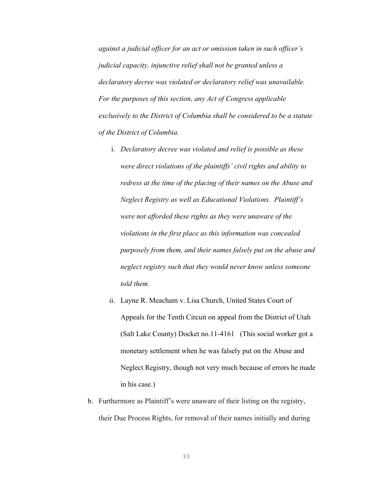*against a judicial officer for an act or omission taken in such officer's judicial capacity, injunctive relief shall not be granted unless a declaratory decree was violated or declaratory relief was unavailable. For the purposes of this section, any Act of Congress applicable exclusively to the District of Columbia shall be considered to be a statute of the District of Columbia.*

- i. *Declaratory decree was violated and relief is possible as these were direct violations of the plaintiffs' civil rights and ability to redress at the time of the placing of their names on the Abuse and Neglect Registry as well as Educational Violations. Plaintiff's were not afforded these rights as they were unaware of the violations in the first place as this information was concealed purposely from them, and their names falsely put on the abuse and neglect registry such that they would never know unless someone told them.*
- ii. Layne R. Meacham v. Lisa Church, United States Court of Appeals for the Tenth Circuit on appeal from the District of Utah (Salt Lake County) Docket no.11-4161 (This social worker got a monetary settlement when he was falsely put on the Abuse and Neglect Registry, though not very much because of errors he made in his case.)
- b. Furthermore as Plaintiff's were unaware of their listing on the registry, their Due Process Rights, for removal of their names initially and during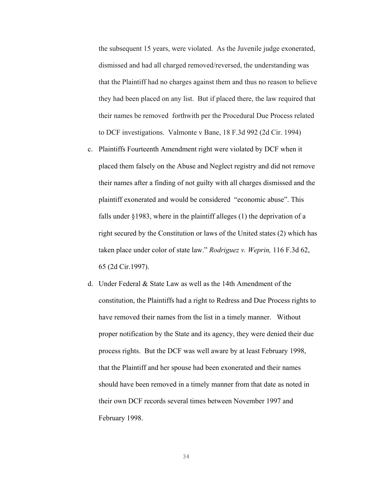the subsequent 15 years, were violated. As the Juvenile judge exonerated, dismissed and had all charged removed/reversed, the understanding was that the Plaintiff had no charges against them and thus no reason to believe they had been placed on any list. But if placed there, the law required that their names be removed forthwith per the Procedural Due Process related to DCF investigations. Valmonte v Bane, 18 F.3d 992 (2d Cir. 1994)

- c. Plaintiffs Fourteenth Amendment right were violated by DCF when it placed them falsely on the Abuse and Neglect registry and did not remove their names after a finding of not guilty with all charges dismissed and the plaintiff exonerated and would be considered "economic abuse". This falls under §1983, where in the plaintiff alleges (1) the deprivation of a right secured by the Constitution or laws of the United states (2) which has taken place under color of state law." *Rodriguez v. Weprin,* 116 F.3d 62, 65 (2d Cir.1997).
- d. Under Federal & State Law as well as the 14th Amendment of the constitution, the Plaintiffs had a right to Redress and Due Process rights to have removed their names from the list in a timely manner. Without proper notification by the State and its agency, they were denied their due process rights. But the DCF was well aware by at least February 1998, that the Plaintiff and her spouse had been exonerated and their names should have been removed in a timely manner from that date as noted in their own DCF records several times between November 1997 and February 1998.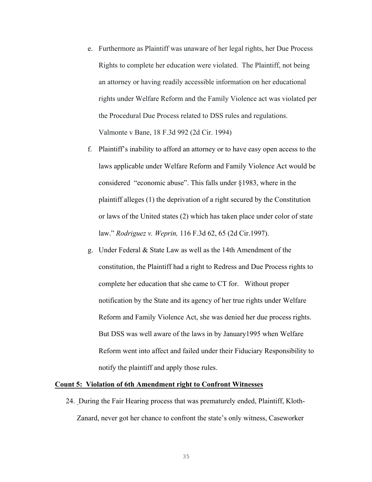- e. Furthermore as Plaintiff was unaware of her legal rights, her Due Process Rights to complete her education were violated. The Plaintiff, not being an attorney or having readily accessible information on her educational rights under Welfare Reform and the Family Violence act was violated per the Procedural Due Process related to DSS rules and regulations. Valmonte v Bane, 18 F.3d 992 (2d Cir. 1994)
- f. Plaintiff's inability to afford an attorney or to have easy open access to the laws applicable under Welfare Reform and Family Violence Act would be considered "economic abuse". This falls under §1983, where in the plaintiff alleges (1) the deprivation of a right secured by the Constitution or laws of the United states (2) which has taken place under color of state law." *Rodriguez v. Weprin,* 116 F.3d 62, 65 (2d Cir.1997).
- g. Under Federal & State Law as well as the 14th Amendment of the constitution, the Plaintiff had a right to Redress and Due Process rights to complete her education that she came to CT for. Without proper notification by the State and its agency of her true rights under Welfare Reform and Family Violence Act, she was denied her due process rights. But DSS was well aware of the laws in by January1995 when Welfare Reform went into affect and failed under their Fiduciary Responsibility to notify the plaintiff and apply those rules.

#### **Count 5: Violation of 6th Amendment right to Confront Witnesses**

24. During the Fair Hearing process that was prematurely ended, Plaintiff, Kloth-Zanard, never got her chance to confront the state's only witness, Caseworker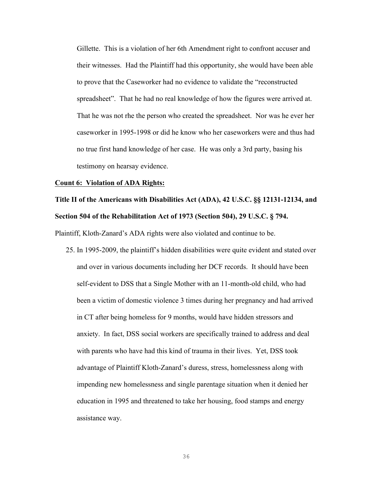Gillette. This is a violation of her 6th Amendment right to confront accuser and their witnesses. Had the Plaintiff had this opportunity, she would have been able to prove that the Caseworker had no evidence to validate the "reconstructed spreadsheet". That he had no real knowledge of how the figures were arrived at. That he was not rhe the person who created the spreadsheet. Nor was he ever her caseworker in 1995-1998 or did he know who her caseworkers were and thus had no true first hand knowledge of her case. He was only a 3rd party, basing his testimony on hearsay evidence.

#### **Count 6: Violation of ADA Rights:**

## **Title II of the Americans with Disabilities Act (ADA), 42 U.S.C. §§ 12131-12134, and Section 504 of the Rehabilitation Act of 1973 (Section 504), 29 U.S.C. § 794.**

Plaintiff, Kloth-Zanard's ADA rights were also violated and continue to be.

25. In 1995-2009, the plaintiff's hidden disabilities were quite evident and stated over and over in various documents including her DCF records. It should have been self-evident to DSS that a Single Mother with an 11-month-old child, who had been a victim of domestic violence 3 times during her pregnancy and had arrived in CT after being homeless for 9 months, would have hidden stressors and anxiety. In fact, DSS social workers are specifically trained to address and deal with parents who have had this kind of trauma in their lives. Yet, DSS took advantage of Plaintiff Kloth-Zanard's duress, stress, homelessness along with impending new homelessness and single parentage situation when it denied her education in 1995 and threatened to take her housing, food stamps and energy assistance way.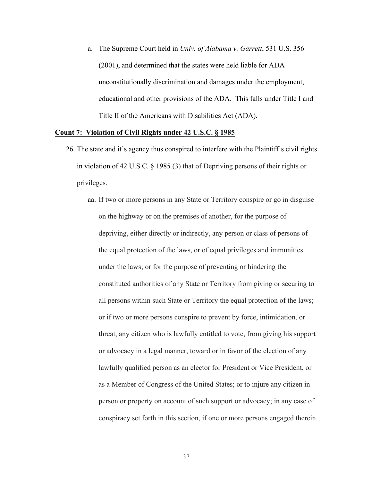a. The Supreme Court held in *Univ. of Alabama v. Garrett*, 531 U.S. 356 (2001), and determined that the states were held liable for ADA unconstitutionally discrimination and damages under the employment, educational and other provisions of the ADA. This falls under Title I and Title II of the Americans with Disabilities Act (ADA).

## **Count 7: Violation of Civil Rights under 42 U.S.C. § 1985**

- 26. The state and it's agency thus conspired to interfere with the Plaintiff's civil rights in violation of 42 U.S.C. § 1985 (3) that of Depriving persons of their rights or privileges.
	- aa. If two or more persons in any State or Territory conspire or go in disguise on the highway or on the premises of another, for the purpose of depriving, either directly or indirectly, any person or class of persons of the equal protection of the laws, or of equal privileges and immunities under the laws; or for the purpose of preventing or hindering the constituted authorities of any State or Territory from giving or securing to all persons within such State or Territory the equal protection of the laws; or if two or more persons conspire to prevent by force, intimidation, or threat, any citizen who is lawfully entitled to vote, from giving his support or advocacy in a legal manner, toward or in favor of the election of any lawfully qualified person as an elector for President or Vice President, or as a Member of Congress of the United States; or to injure any citizen in person or property on account of such support or advocacy; in any case of conspiracy set forth in this section, if one or more persons engaged therein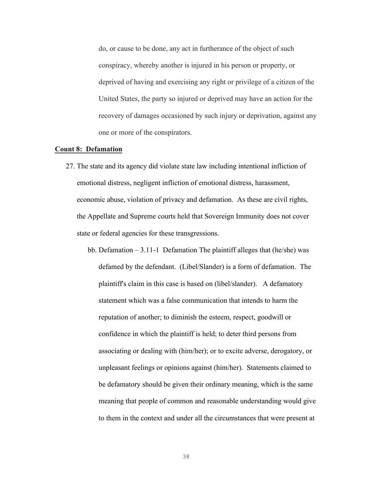do, or cause to be done, any act in furtherance of the object of such conspiracy, whereby another is injured in his person or property, or deprived of having and exercising any right or privilege of a citizen of the United States, the party so injured or deprived may have an action for the recovery of damages occasioned by such injury or deprivation, against any one or more of the conspirators.

#### **Count 8: Defamation**

- 27. The state and its agency did violate state law including intentional infliction of emotional distress, negligent infliction of emotional distress, harassment, economic abuse, violation of privacy and defamation. As these are civil rights, the Appellate and Supreme courts held that Sovereign Immunity does not cover state or federal agencies for these transgressions.
	- bb. Defamation 3.11-1 Defamation The plaintiff alleges that (he/she) was defamed by the defendant. (Libel/Slander) is a form of defamation. The plaintiff's claim in this case is based on (libel/slander). A defamatory statement which was a false communication that intends to harm the reputation of another; to diminish the esteem, respect, goodwill or confidence in which the plaintiff is held; to deter third persons from associating or dealing with (him/her); or to excite adverse, derogatory, or unpleasant feelings or opinions against (him/her). Statements claimed to be defamatory should be given their ordinary meaning, which is the same meaning that people of common and reasonable understanding would give to them in the context and under all the circumstances that were present at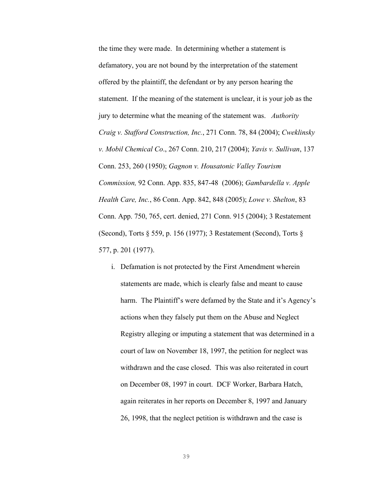the time they were made. In determining whether a statement is defamatory, you are not bound by the interpretation of the statement offered by the plaintiff, the defendant or by any person hearing the statement. If the meaning of the statement is unclear, it is your job as the jury to determine what the meaning of the statement was. *Authority Craig v. Stafford Construction, Inc.*, 271 Conn. 78, 84 (2004); *Cweklinsky v. Mobil Chemical Co*., 267 Conn. 210, 217 (2004); *Yavis v. Sullivan*, 137 Conn. 253, 260 (1950); *Gagnon v. Housatonic Valley Tourism Commission,* 92 Conn. App. 835, 847-48 (2006); *Gambardella v. Apple Health Care, Inc.*, 86 Conn. App. 842, 848 (2005); *Lowe v. Shelton*, 83 Conn. App. 750, 765, cert. denied, 271 Conn. 915 (2004); 3 Restatement (Second), Torts § 559, p. 156 (1977); 3 Restatement (Second), Torts § 577, p. 201 (1977).

i. Defamation is not protected by the First Amendment wherein statements are made, which is clearly false and meant to cause harm. The Plaintiff's were defamed by the State and it's Agency's actions when they falsely put them on the Abuse and Neglect Registry alleging or imputing a statement that was determined in a court of law on November 18, 1997, the petition for neglect was withdrawn and the case closed. This was also reiterated in court on December 08, 1997 in court. DCF Worker, Barbara Hatch, again reiterates in her reports on December 8, 1997 and January 26, 1998, that the neglect petition is withdrawn and the case is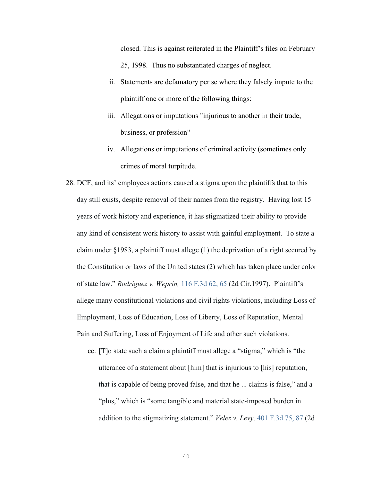closed. This is against reiterated in the Plaintiff's files on February 25, 1998. Thus no substantiated charges of neglect.

- ii. Statements are defamatory per se where they falsely impute to the plaintiff one or more of the following things:
- iii. Allegations or imputations "injurious to another in their trade, business, or profession"
- iv. Allegations or imputations of criminal activity (sometimes only crimes of moral turpitude.
- 28. DCF, and its' employees actions caused a stigma upon the plaintiffs that to this day still exists, despite removal of their names from the registry. Having lost 15 years of work history and experience, it has stigmatized their ability to provide any kind of consistent work history to assist with gainful employment. To state a claim under §1983, a plaintiff must allege (1) the deprivation of a right secured by the Constitution or laws of the United states (2) which has taken place under color of state law." *Rodriguez v. Weprin,* 116 F.3d 62, 65 (2d Cir.1997). Plaintiff's allege many constitutional violations and civil rights violations, including Loss of Employment, Loss of Education, Loss of Liberty, Loss of Reputation, Mental Pain and Suffering, Loss of Enjoyment of Life and other such violations.
	- cc. [T]o state such a claim a plaintiff must allege a "stigma," which is "the utterance of a statement about [him] that is injurious to [his] reputation, that is capable of being proved false, and that he ... claims is false," and a "plus," which is "some tangible and material state-imposed burden in addition to the stigmatizing statement." *Velez v. Levy,* 401 F.3d 75, 87 (2d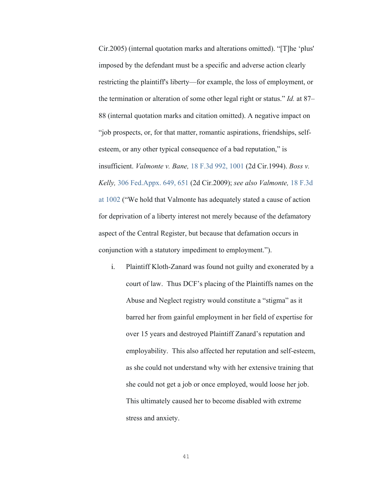Cir.2005) (internal quotation marks and alterations omitted). "[T]he 'plus' imposed by the defendant must be a specific and adverse action clearly restricting the plaintiff's liberty—for example, the loss of employment, or the termination or alteration of some other legal right or status." *Id.* at 87– 88 (internal quotation marks and citation omitted). A negative impact on "job prospects, or, for that matter, romantic aspirations, friendships, selfesteem, or any other typical consequence of a bad reputation," is insufficient. *Valmonte v. Bane,* 18 F.3d 992, 1001 (2d Cir.1994). *Boss v. Kelly,* 306 Fed.Appx. 649, 651 (2d Cir.2009); *see also Valmonte,* 18 F.3d at 1002 ("We hold that Valmonte has adequately stated a cause of action for deprivation of a liberty interest not merely because of the defamatory aspect of the Central Register, but because that defamation occurs in conjunction with a statutory impediment to employment.").

i. Plaintiff Kloth-Zanard was found not guilty and exonerated by a court of law. Thus DCF's placing of the Plaintiffs names on the Abuse and Neglect registry would constitute a "stigma" as it barred her from gainful employment in her field of expertise for over 15 years and destroyed Plaintiff Zanard's reputation and employability. This also affected her reputation and self-esteem, as she could not understand why with her extensive training that she could not get a job or once employed, would loose her job. This ultimately caused her to become disabled with extreme stress and anxiety.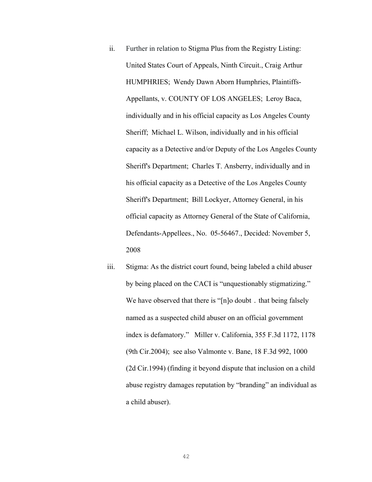- ii. Further in relation to Stigma Plus from the Registry Listing: United States Court of Appeals, Ninth Circuit., Craig Arthur HUMPHRIES; Wendy Dawn Aborn Humphries, Plaintiffs-Appellants, v. COUNTY OF LOS ANGELES; Leroy Baca, individually and in his official capacity as Los Angeles County Sheriff; Michael L. Wilson, individually and in his official capacity as a Detective and/or Deputy of the Los Angeles County Sheriff's Department; Charles T. Ansberry, individually and in his official capacity as a Detective of the Los Angeles County Sheriff's Department; Bill Lockyer, Attorney General, in his official capacity as Attorney General of the State of California, Defendants-Appellees., No. 05-56467., Decided: November 5, 2008
- iii. Stigma: As the district court found, being labeled a child abuser by being placed on the CACI is "unquestionably stigmatizing." We have observed that there is "[n]o doubt . that being falsely named as a suspected child abuser on an official government index is defamatory." Miller v. California, 355 F.3d 1172, 1178 (9th Cir.2004); see also Valmonte v. Bane, 18 F.3d 992, 1000 (2d Cir.1994) (finding it beyond dispute that inclusion on a child abuse registry damages reputation by "branding" an individual as a child abuser).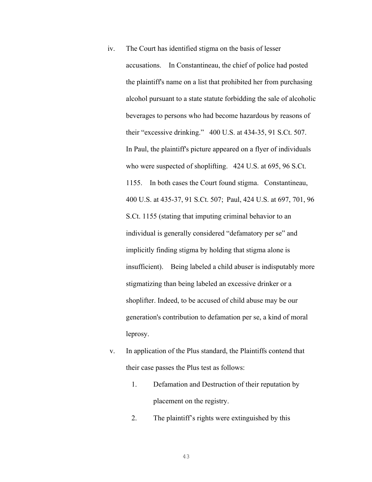- iv. The Court has identified stigma on the basis of lesser accusations. In Constantineau, the chief of police had posted the plaintiff's name on a list that prohibited her from purchasing alcohol pursuant to a state statute forbidding the sale of alcoholic beverages to persons who had become hazardous by reasons of their "excessive drinking." 400 U.S. at 434-35, 91 S.Ct. 507. In Paul, the plaintiff's picture appeared on a flyer of individuals who were suspected of shoplifting. 424 U.S. at 695, 96 S.Ct. 1155. In both cases the Court found stigma. Constantineau, 400 U.S. at 435-37, 91 S.Ct. 507; Paul, 424 U.S. at 697, 701, 96 S.Ct. 1155 (stating that imputing criminal behavior to an individual is generally considered "defamatory per se" and implicitly finding stigma by holding that stigma alone is insufficient). Being labeled a child abuser is indisputably more stigmatizing than being labeled an excessive drinker or a shoplifter. Indeed, to be accused of child abuse may be our generation's contribution to defamation per se, a kind of moral leprosy.
- v. In application of the Plus standard, the Plaintiffs contend that their case passes the Plus test as follows:
	- 1. Defamation and Destruction of their reputation by placement on the registry.
	- 2. The plaintiff's rights were extinguished by this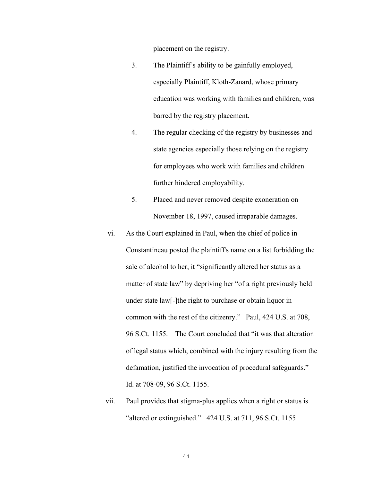placement on the registry.

- 3. The Plaintiff's ability to be gainfully employed, especially Plaintiff, Kloth-Zanard, whose primary education was working with families and children, was barred by the registry placement.
- 4. The regular checking of the registry by businesses and state agencies especially those relying on the registry for employees who work with families and children further hindered employability.
- 5. Placed and never removed despite exoneration on November 18, 1997, caused irreparable damages.
- vi. As the Court explained in Paul, when the chief of police in Constantineau posted the plaintiff's name on a list forbidding the sale of alcohol to her, it "significantly altered her status as a matter of state law" by depriving her "of a right previously held under state law[-]the right to purchase or obtain liquor in common with the rest of the citizenry." Paul, 424 U.S. at 708, 96 S.Ct. 1155. The Court concluded that "it was that alteration of legal status which, combined with the injury resulting from the defamation, justified the invocation of procedural safeguards." Id. at 708-09, 96 S.Ct. 1155.
- vii. Paul provides that stigma-plus applies when a right or status is "altered or extinguished." 424 U.S. at 711, 96 S.Ct. 1155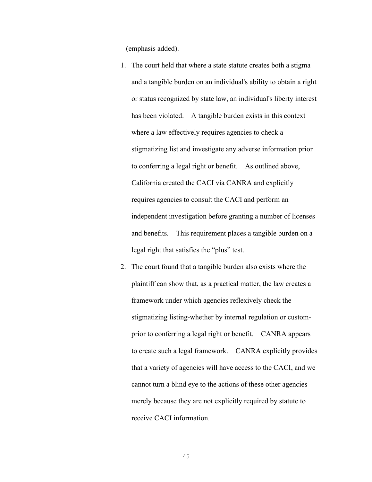(emphasis added).

- 1. The court held that where a state statute creates both a stigma and a tangible burden on an individual's ability to obtain a right or status recognized by state law, an individual's liberty interest has been violated. A tangible burden exists in this context where a law effectively requires agencies to check a stigmatizing list and investigate any adverse information prior to conferring a legal right or benefit. As outlined above, California created the CACI via CANRA and explicitly requires agencies to consult the CACI and perform an independent investigation before granting a number of licenses and benefits. This requirement places a tangible burden on a legal right that satisfies the "plus" test.
- 2. The court found that a tangible burden also exists where the plaintiff can show that, as a practical matter, the law creates a framework under which agencies reflexively check the stigmatizing listing-whether by internal regulation or customprior to conferring a legal right or benefit. CANRA appears to create such a legal framework. CANRA explicitly provides that a variety of agencies will have access to the CACI, and we cannot turn a blind eye to the actions of these other agencies merely because they are not explicitly required by statute to receive CACI information.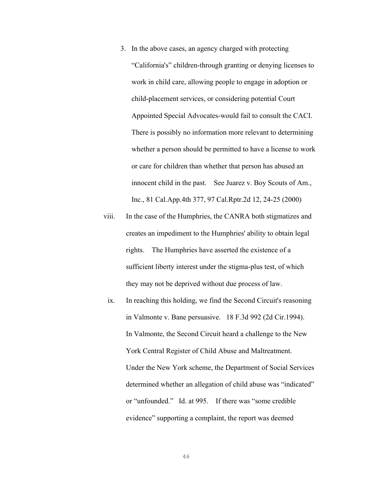- 3. In the above cases, an agency charged with protecting "California's" children-through granting or denying licenses to work in child care, allowing people to engage in adoption or child-placement services, or considering potential Court Appointed Special Advocates-would fail to consult the CACI. There is possibly no information more relevant to determining whether a person should be permitted to have a license to work or care for children than whether that person has abused an innocent child in the past. See Juarez v. Boy Scouts of Am., Inc., 81 Cal.App.4th 377, 97 Cal.Rptr.2d 12, 24-25 (2000)
- viii. In the case of the Humphries, the CANRA both stigmatizes and creates an impediment to the Humphries' ability to obtain legal rights. The Humphries have asserted the existence of a sufficient liberty interest under the stigma-plus test, of which they may not be deprived without due process of law.
	- ix. In reaching this holding, we find the Second Circuit's reasoning in Valmonte v. Bane persuasive. 18 F.3d 992 (2d Cir.1994). In Valmonte, the Second Circuit heard a challenge to the New York Central Register of Child Abuse and Maltreatment. Under the New York scheme, the Department of Social Services determined whether an allegation of child abuse was "indicated" or "unfounded." Id. at 995. If there was "some credible evidence" supporting a complaint, the report was deemed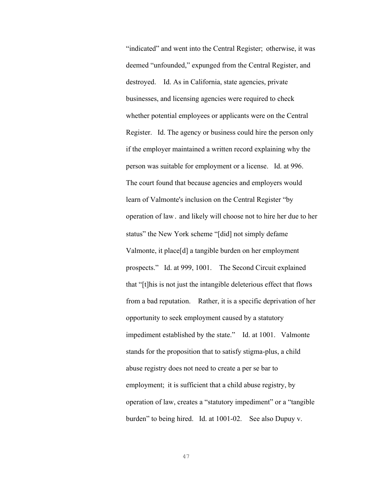"indicated" and went into the Central Register; otherwise, it was deemed "unfounded," expunged from the Central Register, and destroyed. Id. As in California, state agencies, private businesses, and licensing agencies were required to check whether potential employees or applicants were on the Central Register. Id. The agency or business could hire the person only if the employer maintained a written record explaining why the person was suitable for employment or a license. Id. at 996. The court found that because agencies and employers would learn of Valmonte's inclusion on the Central Register "by operation of law․ and likely will choose not to hire her due to her status" the New York scheme "[did] not simply defame Valmonte, it place[d] a tangible burden on her employment prospects." Id. at 999, 1001. The Second Circuit explained that "[t]his is not just the intangible deleterious effect that flows from a bad reputation. Rather, it is a specific deprivation of her opportunity to seek employment caused by a statutory impediment established by the state." Id. at 1001. Valmonte stands for the proposition that to satisfy stigma-plus, a child abuse registry does not need to create a per se bar to employment; it is sufficient that a child abuse registry, by operation of law, creates a "statutory impediment" or a "tangible burden" to being hired. Id. at 1001-02. See also Dupuy v.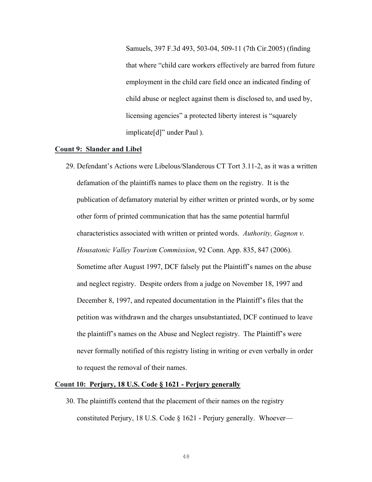Samuels, 397 F.3d 493, 503-04, 509-11 (7th Cir.2005) (finding that where "child care workers effectively are barred from future employment in the child care field once an indicated finding of child abuse or neglect against them is disclosed to, and used by, licensing agencies" a protected liberty interest is "squarely implicate[d]" under Paul ).

#### **Count 9: Slander and Libel**

29. Defendant's Actions were Libelous/Slanderous CT Tort 3.11-2, as it was a written defamation of the plaintiffs names to place them on the registry. It is the publication of defamatory material by either written or printed words, or by some other form of printed communication that has the same potential harmful characteristics associated with written or printed words. *Authority, Gagnon v. Housatonic Valley Tourism Commission*, 92 Conn. App. 835, 847 (2006). Sometime after August 1997, DCF falsely put the Plaintiff's names on the abuse and neglect registry. Despite orders from a judge on November 18, 1997 and December 8, 1997, and repeated documentation in the Plaintiff's files that the petition was withdrawn and the charges unsubstantiated, DCF continued to leave the plaintiff's names on the Abuse and Neglect registry. The Plaintiff's were never formally notified of this registry listing in writing or even verbally in order to request the removal of their names.

#### **Count 10: Perjury, 18 U.S. Code § 1621 - Perjury generally**

30. The plaintiffs contend that the placement of their names on the registry constituted Perjury, 18 U.S. Code § 1621 - Perjury generally. Whoever—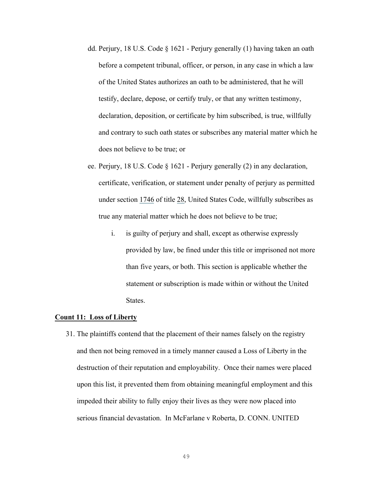- dd. Perjury, 18 U.S. Code § 1621 Perjury generally (1) having taken an oath before a competent tribunal, officer, or person, in any case in which a law of the United States authorizes an oath to be administered, that he will testify, declare, depose, or certify truly, or that any written testimony, declaration, deposition, or certificate by him subscribed, is true, willfully and contrary to such oath states or subscribes any material matter which he does not believe to be true; or
- ee. Perjury, 18 U.S. Code § 1621 Perjury generally (2) in any declaration, certificate, verification, or statement under penalty of perjury as permitted under section 1746 of title 28, United States Code, willfully subscribes as true any material matter which he does not believe to be true;
	- i. is guilty of perjury and shall, except as otherwise expressly provided by law, be fined under this title or imprisoned not more than five years, or both. This section is applicable whether the statement or subscription is made within or without the United States.

#### **Count 11: Loss of Liberty**

31. The plaintiffs contend that the placement of their names falsely on the registry and then not being removed in a timely manner caused a Loss of Liberty in the destruction of their reputation and employability. Once their names were placed upon this list, it prevented them from obtaining meaningful employment and this impeded their ability to fully enjoy their lives as they were now placed into serious financial devastation. In McFarlane v Roberta, D. CONN. UNITED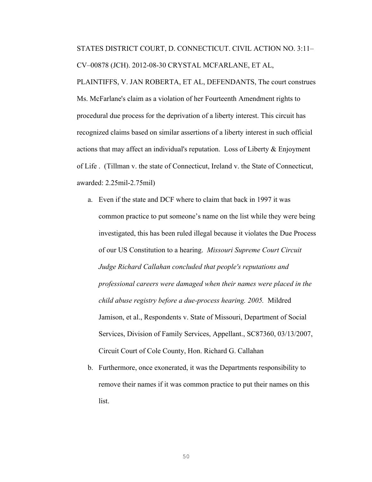STATES DISTRICT COURT, D. CONNECTICUT. CIVIL ACTION NO. 3:11– CV–00878 (JCH). 2012-08-30 CRYSTAL MCFARLANE, ET AL, PLAINTIFFS, V. JAN ROBERTA, ET AL, DEFENDANTS, The court construes Ms. McFarlane's claim as a violation of her Fourteenth Amendment rights to procedural due process for the deprivation of a liberty interest. This circuit has recognized claims based on similar assertions of a liberty interest in such official actions that may affect an individual's reputation. Loss of Liberty  $\&$  Enjoyment of Life . (Tillman v. the state of Connecticut, Ireland v. the State of Connecticut, awarded: 2.25mil-2.75mil)

- a. Even if the state and DCF where to claim that back in 1997 it was common practice to put someone's name on the list while they were being investigated, this has been ruled illegal because it violates the Due Process of our US Constitution to a hearing. *Missouri Supreme Court Circuit Judge Richard Callahan concluded that people's reputations and professional careers were damaged when their names were placed in the child abuse registry before a due-process hearing. 2005.* Mildred Jamison, et al., Respondents v. State of Missouri, Department of Social Services, Division of Family Services, Appellant., SC87360, 03/13/2007, Circuit Court of Cole County, Hon. Richard G. Callahan
- b. Furthermore, once exonerated, it was the Departments responsibility to remove their names if it was common practice to put their names on this list.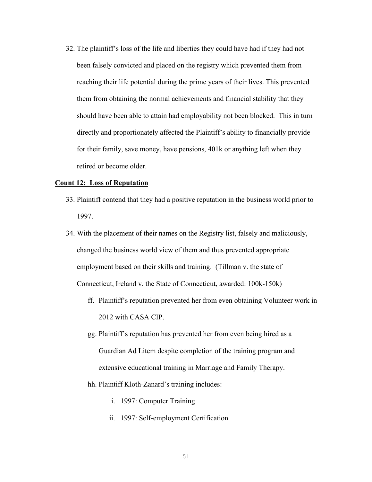32. The plaintiff's loss of the life and liberties they could have had if they had not been falsely convicted and placed on the registry which prevented them from reaching their life potential during the prime years of their lives. This prevented them from obtaining the normal achievements and financial stability that they should have been able to attain had employability not been blocked. This in turn directly and proportionately affected the Plaintiff's ability to financially provide for their family, save money, have pensions, 401k or anything left when they retired or become older.

#### **Count 12: Loss of Reputation**

- 33. Plaintiff contend that they had a positive reputation in the business world prior to 1997.
- 34. With the placement of their names on the Registry list, falsely and maliciously, changed the business world view of them and thus prevented appropriate employment based on their skills and training. (Tillman v. the state of Connecticut, Ireland v. the State of Connecticut, awarded: 100k-150k)
	- ff. Plaintiff's reputation prevented her from even obtaining Volunteer work in 2012 with CASA CIP.
	- gg. Plaintiff's reputation has prevented her from even being hired as a Guardian Ad Litem despite completion of the training program and extensive educational training in Marriage and Family Therapy.

#### hh. Plaintiff Kloth-Zanard's training includes:

- i. 1997: Computer Training
- ii. 1997: Self-employment Certification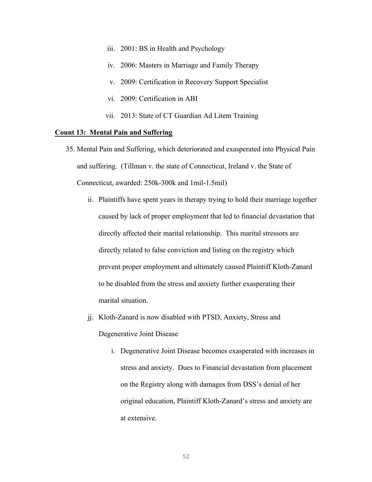- iii. 2001: BS in Health and Psychology
- iv. 2006: Masters in Marriage and Family Therapy
- v. 2009: Certification in Recovery Support Specialist
- vi. 2009: Certification in ABI
- vii. 2013: State of CT Guardian Ad Litem Training

## **Count 13: Mental Pain and Suffering**

- 35. Mental Pain and Suffering, which deteriorated and exasperated into Physical Pain and suffering. (Tillman v. the state of Connecticut, Ireland v. the State of Connecticut, awarded: 250k-300k and 1mil-1.5mil)
	- ii. Plaintiffs have spent years in therapy trying to hold their marriage together caused by lack of proper employment that led to financial devastation that directly affected their marital relationship. This marital stressors are directly related to false conviction and listing on the registry which prevent proper employment and ultimately caused Plaintiff Kloth-Zanard to be disabled from the stress and anxiety further exasperating their marital situation.
	- jj. Kloth-Zanard is now disabled with PTSD, Anxiety, Stress and Degenerative Joint Disease
		- i. Degenerative Joint Disease becomes exasperated with increases in stress and anxiety. Dues to Financial devastation from placement on the Registry along with damages from DSS's denial of her original education, Plaintiff Kloth-Zanard's stress and anxiety are at extensive.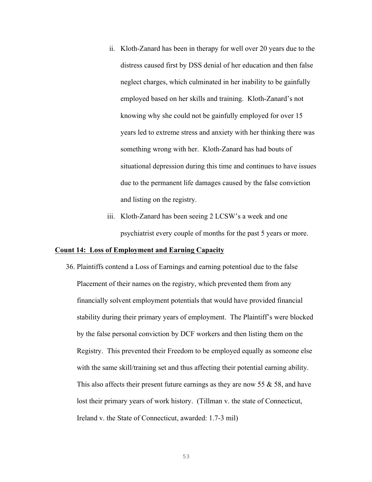- ii. Kloth-Zanard has been in therapy for well over 20 years due to the distress caused first by DSS denial of her education and then false neglect charges, which culminated in her inability to be gainfully employed based on her skills and training. Kloth-Zanard's not knowing why she could not be gainfully employed for over 15 years led to extreme stress and anxiety with her thinking there was something wrong with her. Kloth-Zanard has had bouts of situational depression during this time and continues to have issues due to the permanent life damages caused by the false conviction and listing on the registry.
- iii. Kloth-Zanard has been seeing 2 LCSW's a week and one psychiatrist every couple of months for the past 5 years or more.

#### **Count 14: Loss of Employment and Earning Capacity**

36. Plaintiffs contend a Loss of Earnings and earning potentioal due to the false Placement of their names on the registry, which prevented them from any financially solvent employment potentials that would have provided financial stability during their primary years of employment. The Plaintiff's were blocked by the false personal conviction by DCF workers and then listing them on the Registry. This prevented their Freedom to be employed equally as someone else with the same skill/training set and thus affecting their potential earning ability. This also affects their present future earnings as they are now 55  $\&$  58, and have lost their primary years of work history. (Tillman v. the state of Connecticut, Ireland v. the State of Connecticut, awarded: 1.7-3 mil)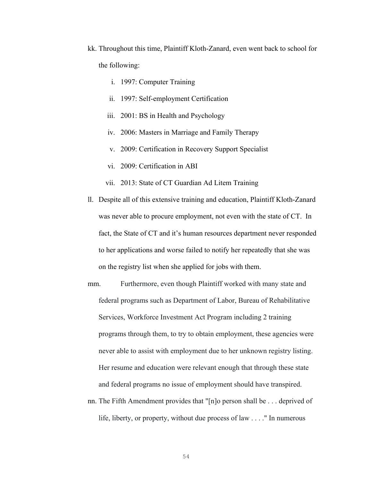- kk. Throughout this time, Plaintiff Kloth-Zanard, even went back to school for the following:
	- i. 1997: Computer Training
	- ii. 1997: Self-employment Certification
	- iii. 2001: BS in Health and Psychology
	- iv. 2006: Masters in Marriage and Family Therapy
	- v. 2009: Certification in Recovery Support Specialist
	- vi. 2009: Certification in ABI
	- vii. 2013: State of CT Guardian Ad Litem Training
- ll. Despite all of this extensive training and education, Plaintiff Kloth-Zanard was never able to procure employment, not even with the state of CT. In fact, the State of CT and it's human resources department never responded to her applications and worse failed to notify her repeatedly that she was on the registry list when she applied for jobs with them.
- mm. Furthermore, even though Plaintiff worked with many state and federal programs such as Department of Labor, Bureau of Rehabilitative Services, Workforce Investment Act Program including 2 training programs through them, to try to obtain employment, these agencies were never able to assist with employment due to her unknown registry listing. Her resume and education were relevant enough that through these state and federal programs no issue of employment should have transpired.
- nn. The Fifth Amendment provides that "[n]o person shall be . . . deprived of life, liberty, or property, without due process of law . . . ." In numerous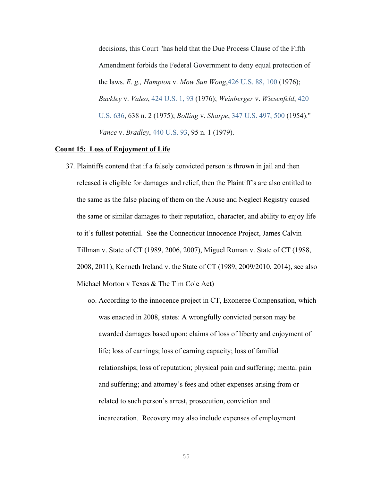decisions, this Court "has held that the Due Process Clause of the Fifth Amendment forbids the Federal Government to deny equal protection of the laws. *E. g., Hampton* v. *Mow Sun Wong*,426 U.S. 88, 100 (1976); *Buckley* v. *Valeo*, 424 U.S. 1, 93 (1976); *Weinberger* v. *Wiesenfeld*, 420 U.S. 636, 638 n. 2 (1975); *Bolling* v. *Sharpe*, 347 U.S. 497, 500 (1954)." *Vance* v. *Bradley*, 440 U.S. 93, 95 n. 1 (1979).

#### **Count 15: Loss of Enjoyment of Life**

- 37. Plaintiffs contend that if a falsely convicted person is thrown in jail and then released is eligible for damages and relief, then the Plaintiff's are also entitled to the same as the false placing of them on the Abuse and Neglect Registry caused the same or similar damages to their reputation, character, and ability to enjoy life to it's fullest potential. See the Connecticut Innocence Project, James Calvin Tillman v. State of CT (1989, 2006, 2007), Miguel Roman v. State of CT (1988, 2008, 2011), Kenneth Ireland v. the State of CT (1989, 2009/2010, 2014), see also Michael Morton v Texas & The Tim Cole Act)
	- oo. According to the innocence project in CT, Exoneree Compensation, which was enacted in 2008, states: A wrongfully convicted person may be awarded damages based upon: claims of loss of liberty and enjoyment of life; loss of earnings; loss of earning capacity; loss of familial relationships; loss of reputation; physical pain and suffering; mental pain and suffering; and attorney's fees and other expenses arising from or related to such person's arrest, prosecution, conviction and incarceration. Recovery may also include expenses of employment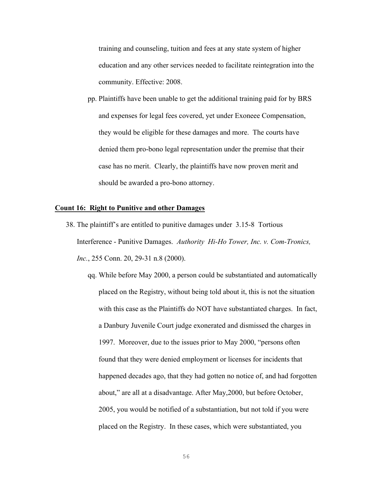training and counseling, tuition and fees at any state system of higher education and any other services needed to facilitate reintegration into the community. Effective: 2008.

pp. Plaintiffs have been unable to get the additional training paid for by BRS and expenses for legal fees covered, yet under Exoneee Compensation, they would be eligible for these damages and more. The courts have denied them pro-bono legal representation under the premise that their case has no merit. Clearly, the plaintiffs have now proven merit and should be awarded a pro-bono attorney.

## **Count 16: Right to Punitive and other Damages**

- 38. The plaintiff's are entitled to punitive damages under 3.15-8 Tortious Interference - Punitive Damages. *Authority Hi-Ho Tower, Inc. v. Com-Tronics, Inc.*, 255 Conn. 20, 29-31 n.8 (2000).
	- qq. While before May 2000, a person could be substantiated and automatically placed on the Registry, without being told about it, this is not the situation with this case as the Plaintiffs do NOT have substantiated charges. In fact, a Danbury Juvenile Court judge exonerated and dismissed the charges in 1997. Moreover, due to the issues prior to May 2000, "persons often found that they were denied employment or licenses for incidents that happened decades ago, that they had gotten no notice of, and had forgotten about," are all at a disadvantage. After May,2000, but before October, 2005, you would be notified of a substantiation, but not told if you were placed on the Registry. In these cases, which were substantiated, you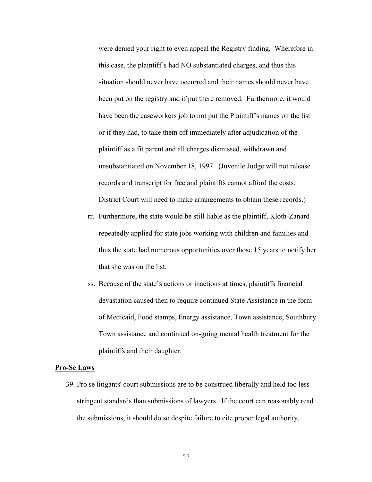were denied your right to even appeal the Registry finding. Wherefore in this case, the plaintiff's had NO substantiated charges, and thus this situation should never have occurred and their names should never have been put on the registry and if put there removed. Furthermore, it would have been the caseworkers job to not put the Plaintiff's names on the list or if they had, to take them off immediately after adjudication of the plaintiff as a fit parent and all charges dismissed, withdrawn and unsubstantiated on November 18, 1997. (Juvenile Judge will not release records and transcript for free and plaintiffs cannot afford the costs. District Court will need to make arrangements to obtain these records.)

- rr. Furthermore, the state would be still liable as the plaintiff, Kloth-Zanard repeatedly applied for state jobs working with children and families and thus the state had numerous opportunities over those 15 years to notify her that she was on the list.
- ss. Because of the state's actions or inactions at times, plaintiffs financial devastation caused then to require continued State Assistance in the form of Medicaid, Food stamps, Energy assistance, Town assistance, Southbury Town assistance and continued on-going mental health treatment for the plaintiffs and their daughter.

#### **Pro-Se Laws**

39. Pro se litigants' court submissions are to be construed liberally and held too less stringent standards than submissions of lawyers. If the court can reasonably read the submissions, it should do so despite failure to cite proper legal authority,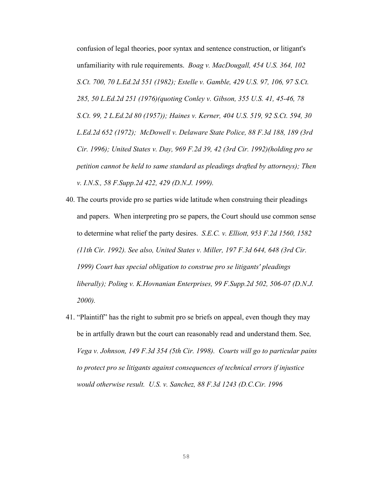confusion of legal theories, poor syntax and sentence construction, or litigant's unfamiliarity with rule requirements. *Boag v. MacDougall, 454 U.S. 364, 102 S.Ct. 700, 70 L.Ed.2d 551 (1982); Estelle v. Gamble, 429 U.S. 97, 106, 97 S.Ct. 285, 50 L.Ed.2d 251 (1976)(quoting Conley v. Gibson, 355 U.S. 41, 45-46, 78 S.Ct. 99, 2 L.Ed.2d 80 (1957)); Haines v. Kerner, 404 U.S. 519, 92 S.Ct. 594, 30 L.Ed.2d 652 (1972); McDowell v. Delaware State Police, 88 F.3d 188, 189 (3rd Cir. 1996); United States v. Day, 969 F.2d 39, 42 (3rd Cir. 1992)(holding pro se petition cannot be held to same standard as pleadings drafted by attorneys); Then v. I.N.S., 58 F.Supp.2d 422, 429 (D.N.J. 1999).*

- 40. The courts provide pro se parties wide latitude when construing their pleadings and papers. When interpreting pro se papers, the Court should use common sense to determine what relief the party desires. *S.E.C. v. Elliott, 953 F.2d 1560, 1582 (11th Cir. 1992). See also, United States v. Miller, 197 F.3d 644, 648 (3rd Cir. 1999) Court has special obligation to construe pro se litigants' pleadings liberally); Poling v. K.Hovnanian Enterprises, 99 F.Supp.2d 502, 506-07 (D.N.J. 2000).*
- 41. "Plaintiff" has the right to submit pro se briefs on appeal, even though they may be in artfully drawn but the court can reasonably read and understand them. See*, Vega v. Johnson, 149 F.3d 354 (5th Cir. 1998). Courts will go to particular pains to protect pro se litigants against consequences of technical errors if injustice would otherwise result. U.S. v. Sanchez, 88 F.3d 1243 (D.C.Cir. 1996*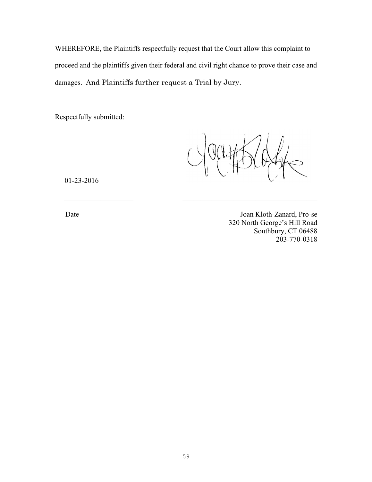WHEREFORE, the Plaintiffs respectfully request that the Court allow this complaint to proceed and the plaintiffs given their federal and civil right chance to prove their case and damages. And Plaintiffs further request a Trial by Jury.

 $\mathcal{L}_\text{max}$  and the contract of the contract of the contract of the contract of the contract of the contract of the contract of the contract of the contract of the contract of the contract of the contract of the contrac

Respectfully submitted:

01-23-2016

Date Joan Kloth-Zanard, Pro-se 320 North George's Hill Road Southbury, CT 06488 203-770-0318